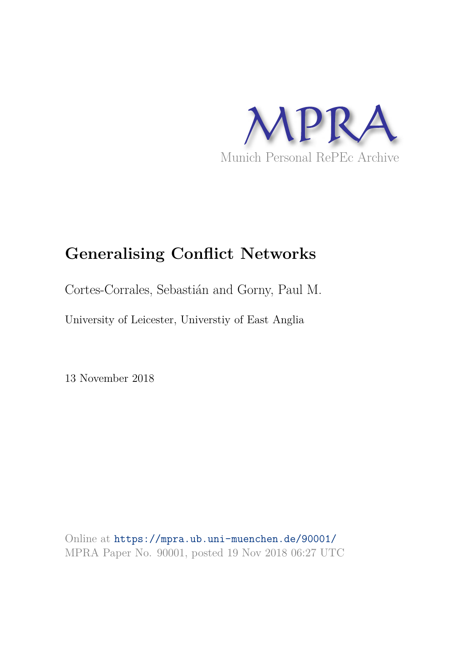

# **Generalising Conflict Networks**

Cortes-Corrales, Sebastián and Gorny, Paul M.

University of Leicester, Universtiy of East Anglia

13 November 2018

Online at https://mpra.ub.uni-muenchen.de/90001/ MPRA Paper No. 90001, posted 19 Nov 2018 06:27 UTC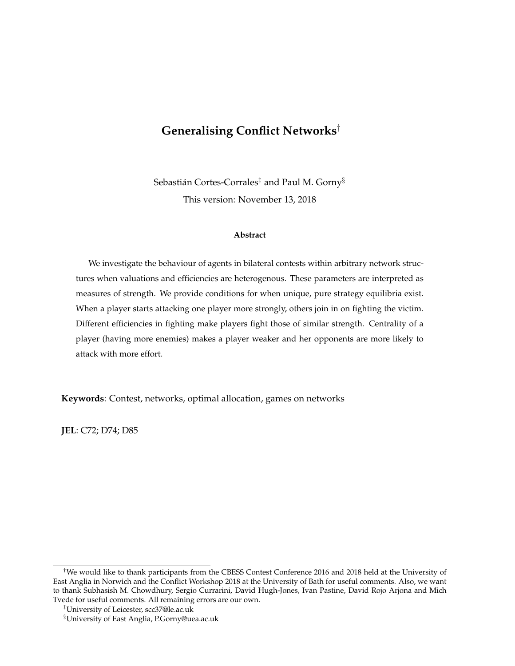# **Generalising Conflict Networks**†

Sebastián Cortes-Corrales $^\ddag$  and Paul M. Gorny $^\S$ This version: November 13, 2018

#### **Abstract**

We investigate the behaviour of agents in bilateral contests within arbitrary network structures when valuations and efficiencies are heterogenous. These parameters are interpreted as measures of strength. We provide conditions for when unique, pure strategy equilibria exist. When a player starts attacking one player more strongly, others join in on fighting the victim. Different efficiencies in fighting make players fight those of similar strength. Centrality of a player (having more enemies) makes a player weaker and her opponents are more likely to attack with more effort.

**Keywords**: Contest, networks, optimal allocation, games on networks

**JEL**: C72; D74; D85

<sup>†</sup>We would like to thank participants from the CBESS Contest Conference 2016 and 2018 held at the University of East Anglia in Norwich and the Conflict Workshop 2018 at the University of Bath for useful comments. Also, we want to thank Subhasish M. Chowdhury, Sergio Currarini, David Hugh-Jones, Ivan Pastine, David Rojo Arjona and Mich Tvede for useful comments. All remaining errors are our own.

<sup>‡</sup>University of Leicester, scc37@le.ac.uk

<sup>§</sup>University of East Anglia, P.Gorny@uea.ac.uk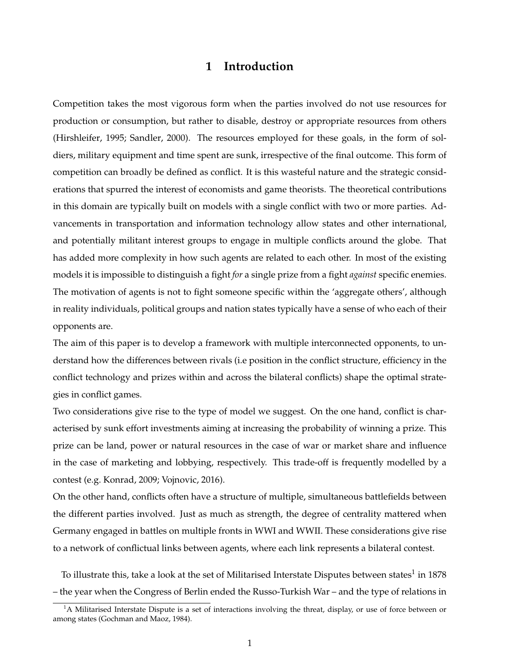# **1 Introduction**

Competition takes the most vigorous form when the parties involved do not use resources for production or consumption, but rather to disable, destroy or appropriate resources from others (Hirshleifer, 1995; Sandler, 2000). The resources employed for these goals, in the form of soldiers, military equipment and time spent are sunk, irrespective of the final outcome. This form of competition can broadly be defined as conflict. It is this wasteful nature and the strategic considerations that spurred the interest of economists and game theorists. The theoretical contributions in this domain are typically built on models with a single conflict with two or more parties. Advancements in transportation and information technology allow states and other international, and potentially militant interest groups to engage in multiple conflicts around the globe. That has added more complexity in how such agents are related to each other. In most of the existing models it is impossible to distinguish a fight *for* a single prize from a fight *against* specific enemies. The motivation of agents is not to fight someone specific within the 'aggregate others', although in reality individuals, political groups and nation states typically have a sense of who each of their opponents are.

The aim of this paper is to develop a framework with multiple interconnected opponents, to understand how the differences between rivals (i.e position in the conflict structure, efficiency in the conflict technology and prizes within and across the bilateral conflicts) shape the optimal strategies in conflict games.

Two considerations give rise to the type of model we suggest. On the one hand, conflict is characterised by sunk effort investments aiming at increasing the probability of winning a prize. This prize can be land, power or natural resources in the case of war or market share and influence in the case of marketing and lobbying, respectively. This trade-off is frequently modelled by a contest (e.g. Konrad, 2009; Vojnovic, 2016).

On the other hand, conflicts often have a structure of multiple, simultaneous battlefields between the different parties involved. Just as much as strength, the degree of centrality mattered when Germany engaged in battles on multiple fronts in WWI and WWII. These considerations give rise to a network of conflictual links between agents, where each link represents a bilateral contest.

To illustrate this, take a look at the set of Militarised Interstate Disputes between states $^1$  in 1878 – the year when the Congress of Berlin ended the Russo-Turkish War – and the type of relations in

<sup>&</sup>lt;sup>1</sup>A Militarised Interstate Dispute is a set of interactions involving the threat, display, or use of force between or among states (Gochman and Maoz, 1984).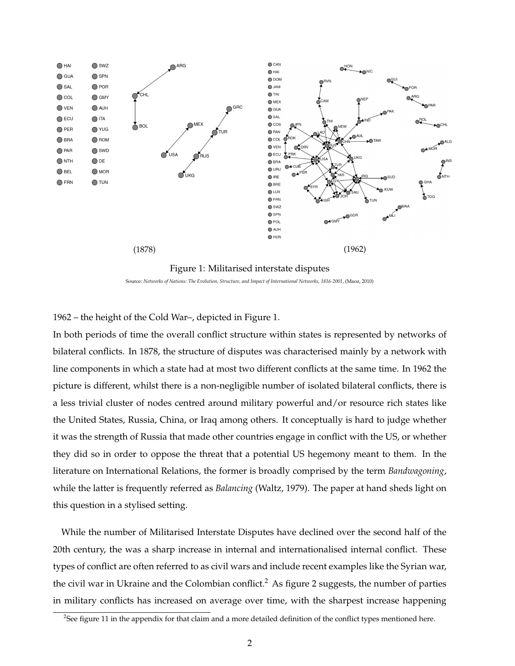



Source: *Networks of Nations: The Evolution, Structure, and Impact of International Networks, 1816-2001*, (Maoz, 2010)

1962 – the height of the Cold War–, depicted in Figure 1.

In both periods of time the overall conflict structure within states is represented by networks of bilateral conflicts. In 1878, the structure of disputes was characterised mainly by a network with line components in which a state had at most two different conflicts at the same time. In 1962 the picture is different, whilst there is a non-negligible number of isolated bilateral conflicts, there is a less trivial cluster of nodes centred around military powerful and/or resource rich states like the United States, Russia, China, or Iraq among others. It conceptually is hard to judge whether it was the strength of Russia that made other countries engage in conflict with the US, or whether they did so in order to oppose the threat that a potential US hegemony meant to them. In the literature on International Relations, the former is broadly comprised by the term *Bandwagoning*, while the latter is frequently referred as *Balancing* (Waltz, 1979). The paper at hand sheds light on this question in a stylised setting.

While the number of Militarised Interstate Disputes have declined over the second half of the 20th century, the was a sharp increase in internal and internationalised internal conflict. These types of conflict are often referred to as civil wars and include recent examples like the Syrian war, the civil war in Ukraine and the Colombian conflict.<sup>2</sup> As figure 2 suggests, the number of parties in military conflicts has increased on average over time, with the sharpest increase happening

<sup>&</sup>lt;sup>2</sup>See figure 11 in the appendix for that claim and a more detailed definition of the conflict types mentioned here.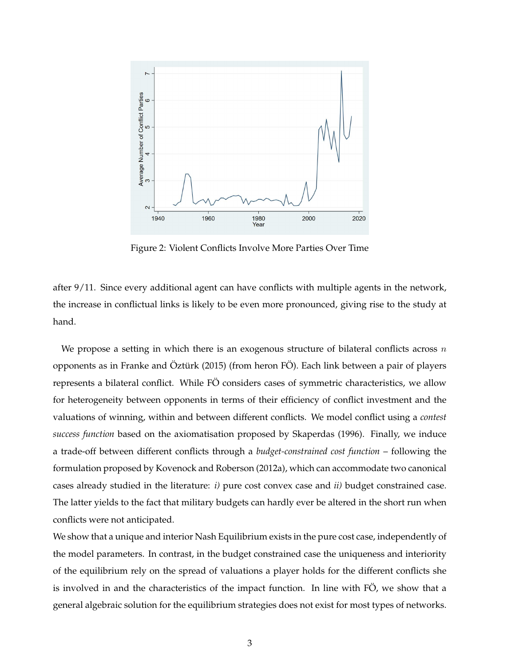

Figure 2: Violent Conflicts Involve More Parties Over Time

after 9/11. Since every additional agent can have conflicts with multiple agents in the network, the increase in conflictual links is likely to be even more pronounced, giving rise to the study at hand.

We propose a setting in which there is an exogenous structure of bilateral conflicts across  $n$ opponents as in Franke and Öztürk (2015) (from heron FÖ). Each link between a pair of players represents a bilateral conflict. While FÖ considers cases of symmetric characteristics, we allow for heterogeneity between opponents in terms of their efficiency of conflict investment and the valuations of winning, within and between different conflicts. We model conflict using a *contest success function* based on the axiomatisation proposed by Skaperdas (1996). Finally, we induce a trade-off between different conflicts through a *budget-constrained cost function* – following the formulation proposed by Kovenock and Roberson (2012a), which can accommodate two canonical cases already studied in the literature: *i)* pure cost convex case and *ii)* budget constrained case. The latter yields to the fact that military budgets can hardly ever be altered in the short run when conflicts were not anticipated.

We show that a unique and interior Nash Equilibrium exists in the pure cost case, independently of the model parameters. In contrast, in the budget constrained case the uniqueness and interiority of the equilibrium rely on the spread of valuations a player holds for the different conflicts she is involved in and the characteristics of the impact function. In line with FO, we show that a general algebraic solution for the equilibrium strategies does not exist for most types of networks.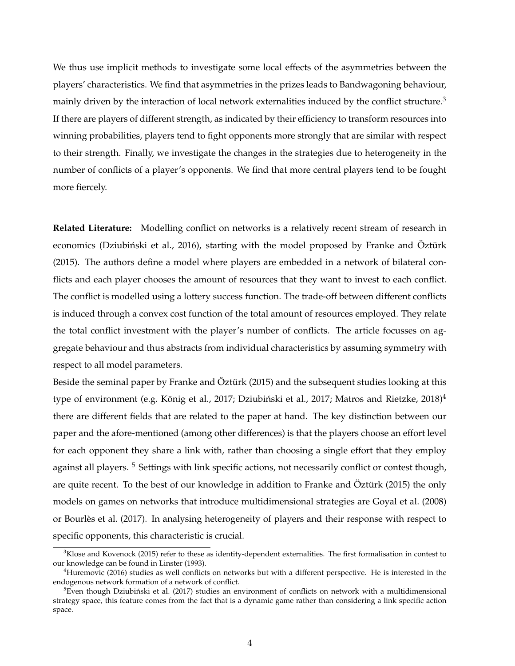We thus use implicit methods to investigate some local effects of the asymmetries between the players' characteristics. We find that asymmetries in the prizes leads to Bandwagoning behaviour, mainly driven by the interaction of local network externalities induced by the conflict structure.<sup>3</sup> If there are players of different strength, as indicated by their efficiency to transform resources into winning probabilities, players tend to fight opponents more strongly that are similar with respect to their strength. Finally, we investigate the changes in the strategies due to heterogeneity in the number of conflicts of a player's opponents. We find that more central players tend to be fought more fiercely.

**Related Literature:** Modelling conflict on networks is a relatively recent stream of research in economics (Dziubiński et al., 2016), starting with the model proposed by Franke and Öztürk (2015). The authors define a model where players are embedded in a network of bilateral conflicts and each player chooses the amount of resources that they want to invest to each conflict. The conflict is modelled using a lottery success function. The trade-off between different conflicts is induced through a convex cost function of the total amount of resources employed. They relate the total conflict investment with the player's number of conflicts. The article focusses on aggregate behaviour and thus abstracts from individual characteristics by assuming symmetry with respect to all model parameters.

Beside the seminal paper by Franke and Öztürk (2015) and the subsequent studies looking at this type of environment (e.g. König et al., 2017; Dziubiński et al., 2017; Matros and Rietzke, 2018)<sup>4</sup> there are different fields that are related to the paper at hand. The key distinction between our paper and the afore-mentioned (among other differences) is that the players choose an effort level for each opponent they share a link with, rather than choosing a single effort that they employ against all players.<sup>5</sup> Settings with link specific actions, not necessarily conflict or contest though, are quite recent. To the best of our knowledge in addition to Franke and Öztürk (2015) the only models on games on networks that introduce multidimensional strategies are Goyal et al. (2008) or Bourles et al. (2017). In analysing heterogeneity of players and their response with respect to ` specific opponents, this characteristic is crucial.

 $3K$ lose and Kovenock (2015) refer to these as identity-dependent externalities. The first formalisation in contest to our knowledge can be found in Linster (1993).

<sup>4</sup>Huremovic (2016) studies as well conflicts on networks but with a different perspective. He is interested in the endogenous network formation of a network of conflict.

 $5$ Even though Dziubiński et al. (2017) studies an environment of conflicts on network with a multidimensional strategy space, this feature comes from the fact that is a dynamic game rather than considering a link specific action space.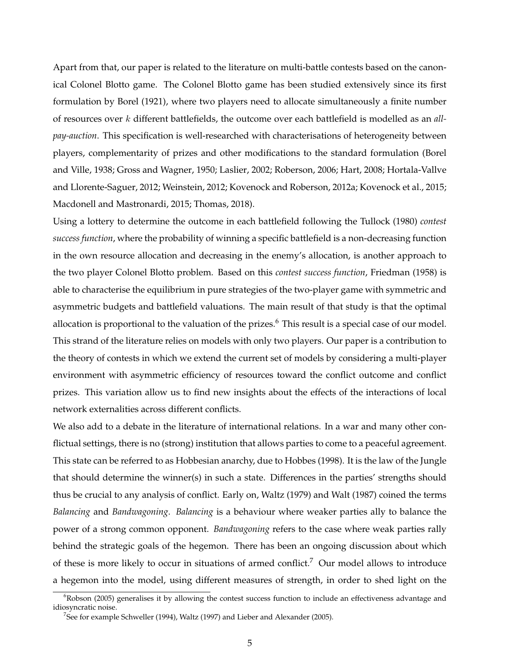Apart from that, our paper is related to the literature on multi-battle contests based on the canonical Colonel Blotto game. The Colonel Blotto game has been studied extensively since its first formulation by Borel (1921), where two players need to allocate simultaneously a finite number of resources over k different battlefields, the outcome over each battlefield is modelled as an *allpay-auction*. This specification is well-researched with characterisations of heterogeneity between players, complementarity of prizes and other modifications to the standard formulation (Borel and Ville, 1938; Gross and Wagner, 1950; Laslier, 2002; Roberson, 2006; Hart, 2008; Hortala-Vallve and Llorente-Saguer, 2012; Weinstein, 2012; Kovenock and Roberson, 2012a; Kovenock et al., 2015; Macdonell and Mastronardi, 2015; Thomas, 2018).

Using a lottery to determine the outcome in each battlefield following the Tullock (1980) *contest success function*, where the probability of winning a specific battlefield is a non-decreasing function in the own resource allocation and decreasing in the enemy's allocation, is another approach to the two player Colonel Blotto problem. Based on this *contest success function*, Friedman (1958) is able to characterise the equilibrium in pure strategies of the two-player game with symmetric and asymmetric budgets and battlefield valuations. The main result of that study is that the optimal allocation is proportional to the valuation of the prizes.<sup>6</sup> This result is a special case of our model. This strand of the literature relies on models with only two players. Our paper is a contribution to the theory of contests in which we extend the current set of models by considering a multi-player environment with asymmetric efficiency of resources toward the conflict outcome and conflict prizes. This variation allow us to find new insights about the effects of the interactions of local network externalities across different conflicts.

We also add to a debate in the literature of international relations. In a war and many other conflictual settings, there is no (strong) institution that allows parties to come to a peaceful agreement. This state can be referred to as Hobbesian anarchy, due to Hobbes (1998). It is the law of the Jungle that should determine the winner(s) in such a state. Differences in the parties' strengths should thus be crucial to any analysis of conflict. Early on, Waltz (1979) and Walt (1987) coined the terms *Balancing* and *Bandwagoning*. *Balancing* is a behaviour where weaker parties ally to balance the power of a strong common opponent. *Bandwagoning* refers to the case where weak parties rally behind the strategic goals of the hegemon. There has been an ongoing discussion about which of these is more likely to occur in situations of armed conflict.<sup>7</sup> Our model allows to introduce a hegemon into the model, using different measures of strength, in order to shed light on the

<sup>&</sup>lt;sup>6</sup>Robson (2005) generalises it by allowing the contest success function to include an effectiveness advantage and idiosyncratic noise.

 $^7$ See for example Schweller (1994), Waltz (1997) and Lieber and Alexander (2005).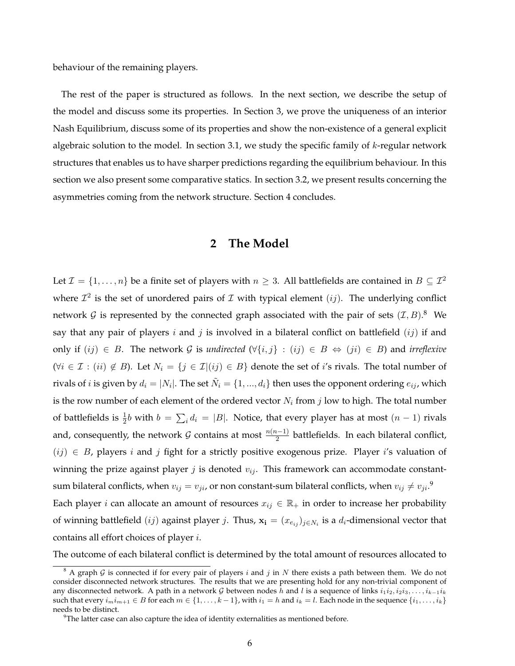behaviour of the remaining players.

The rest of the paper is structured as follows. In the next section, we describe the setup of the model and discuss some its properties. In Section 3, we prove the uniqueness of an interior Nash Equilibrium, discuss some of its properties and show the non-existence of a general explicit algebraic solution to the model. In section 3.1, we study the specific family of  $k$ -regular network structures that enables us to have sharper predictions regarding the equilibrium behaviour. In this section we also present some comparative statics. In section 3.2, we present results concerning the asymmetries coming from the network structure. Section 4 concludes.

# **2 The Model**

Let  $\mathcal{I} = \{1, \ldots, n\}$  be a finite set of players with  $n \geq 3$ . All battlefields are contained in  $B \subseteq \mathcal{I}^2$ where  $\mathcal{I}^2$  is the set of unordered pairs of  $\mathcal I$  with typical element  $(ij)$ . The underlying conflict network  $G$  is represented by the connected graph associated with the pair of sets  $(\mathcal{I}, B)$ .<sup>8</sup> We say that any pair of players  $i$  and  $j$  is involved in a bilateral conflict on battlefield  $(ij)$  if and only if  $(ij)$  ∈ B. The network G is *undirected*  $(\forall \{i, j\} : (ij) \in B \Leftrightarrow (ji) \in B)$  and *irreflexive*  $(\forall i \in \mathcal{I} : (ii) \notin B)$ . Let  $N_i = \{j \in \mathcal{I} | (ij) \in B\}$  denote the set of i's rivals. The total number of rivals of  $i$  is given by  $d_i = |N_i|$ . The set  $\tilde{N}_i = \{1, ..., d_i\}$  then uses the opponent ordering  $e_{ij}$ , which is the row number of each element of the ordered vector  $N_i$  from  $j$  low to high. The total number of battlefields is  $\frac{1}{2}b$  with  $b = \sum_i d_i = |B|$ . Notice, that every player has at most  $(n-1)$  rivals and, consequently, the network  $\mathcal G$  contains at most  $\frac{n(n-1)}{2}$  battlefields. In each bilateral conflict,  $(ij) \in B$ , players i and j fight for a strictly positive exogenous prize. Player i's valuation of winning the prize against player  $j$  is denoted  $v_{ij}$ . This framework can accommodate constantsum bilateral conflicts, when  $v_{ij} = v_{ji}$ , or non constant-sum bilateral conflicts, when  $v_{ij} \neq v_{ji}$ .<sup>9</sup> Each player *i* can allocate an amount of resources  $x_{ij} \in \mathbb{R}_+$  in order to increase her probability of winning battlefield  $(ij)$  against player j. Thus,  $\mathbf{x_i} = (x_{e_{ij}})_{j \in N_i}$  is a  $d_i$ -dimensional vector that contains all effort choices of player i.

The outcome of each bilateral conflict is determined by the total amount of resources allocated to

 $8$  A graph  $G$  is connected if for every pair of players i and j in N there exists a path between them. We do not consider disconnected network structures. The results that we are presenting hold for any non-trivial component of any disconnected network. A path in a network G between nodes h and l is a sequence of links  $i_1i_2, i_2i_3, \ldots, i_{k-1}i_k$ such that every  $i_m i_{m+1} \in B$  for each  $m \in \{1, \ldots, k-1\}$ , with  $i_1 = h$  and  $i_k = l$ . Each node in the sequence  $\{i_1, \ldots, i_k\}$ needs to be distinct.

 $9$ The latter case can also capture the idea of identity externalities as mentioned before.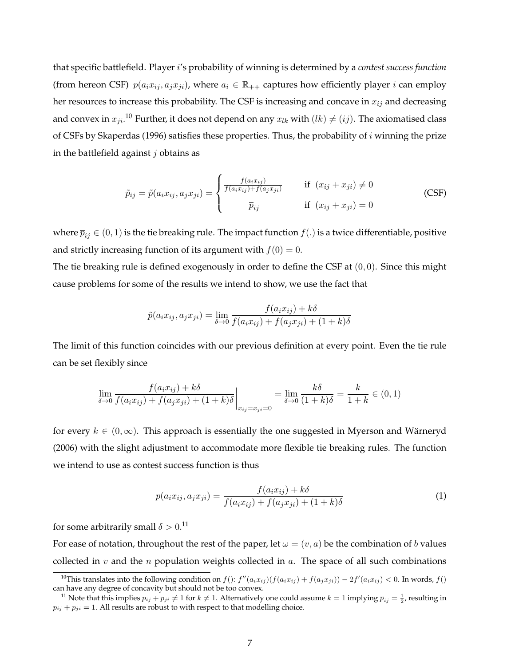that specific battlefield. Player i's probability of winning is determined by a *contest success function* (from hereon CSF)  $p(a_i x_{ij}, a_j x_{ji})$ , where  $a_i \in \mathbb{R}_{++}$  captures how efficiently player *i* can employ her resources to increase this probability. The CSF is increasing and concave in  $x_{ij}$  and decreasing and convex in  $x_{ji}$ .<sup>10</sup> Further, it does not depend on any  $x_{lk}$  with  $(lk) \neq (ij)$ . The axiomatised class of CSFs by Skaperdas (1996) satisfies these properties. Thus, the probability of  $i$  winning the prize in the battlefield against  $j$  obtains as

$$
\tilde{p}_{ij} = \tilde{p}(a_i x_{ij}, a_j x_{ji}) = \begin{cases}\n\frac{f(a_i x_{ij})}{f(a_i x_{ij}) + f(a_j x_{ji})} & \text{if } (x_{ij} + x_{ji}) \neq 0 \\
\overline{p}_{ij} & \text{if } (x_{ij} + x_{ji}) = 0\n\end{cases}
$$
\n(CSF)

where  $\overline{p}_{ij} \in (0,1)$  is the tie breaking rule. The impact function  $f(.)$  is a twice differentiable, positive and strictly increasing function of its argument with  $f(0) = 0$ .

The tie breaking rule is defined exogenously in order to define the CSF at  $(0, 0)$ . Since this might cause problems for some of the results we intend to show, we use the fact that

$$
\tilde{p}(a_i x_{ij}, a_j x_{ji}) = \lim_{\delta \to 0} \frac{f(a_i x_{ij}) + k\delta}{f(a_i x_{ij}) + f(a_j x_{ji}) + (1 + k)\delta}
$$

The limit of this function coincides with our previous definition at every point. Even the tie rule can be set flexibly since

$$
\lim_{\delta \to 0} \frac{f(a_i x_{ij}) + k\delta}{f(a_i x_{ij}) + f(a_j x_{ji}) + (1 + k)\delta} \bigg|_{x_{ij} = x_{ji} = 0} = \lim_{\delta \to 0} \frac{k\delta}{(1 + k)\delta} = \frac{k}{1 + k} \in (0, 1)
$$

for every  $k \in (0,\infty)$ . This approach is essentially the one suggested in Myerson and Wärneryd (2006) with the slight adjustment to accommodate more flexible tie breaking rules. The function we intend to use as contest success function is thus

$$
p(a_i x_{ij}, a_j x_{ji}) = \frac{f(a_i x_{ij}) + k\delta}{f(a_i x_{ij}) + f(a_j x_{ji}) + (1 + k)\delta}
$$
(1)

for some arbitrarily small  $\delta > 0.11$ 

For ease of notation, throughout the rest of the paper, let  $\omega = (v, a)$  be the combination of b values collected in v and the n population weights collected in a. The space of all such combinations

<sup>&</sup>lt;sup>10</sup>This translates into the following condition on  $f()$ :  $f''(a_ix_{ij})(f(a_ix_{ij}) + f(a_jx_{ji})) - 2f'(a_ix_{ij}) < 0$ . In words,  $f()$ can have any degree of concavity but should not be too convex.

<sup>&</sup>lt;sup>11</sup> Note that this implies  $p_{ij} + p_{ji} \neq 1$  for  $k \neq 1$ . Alternatively one could assume  $k = 1$  implying  $\overline{p}_{ij} = \frac{1}{2}$ , resulting in  $p_{ij} + p_{ji} = 1$ . All results are robust to with respect to that modelling choice.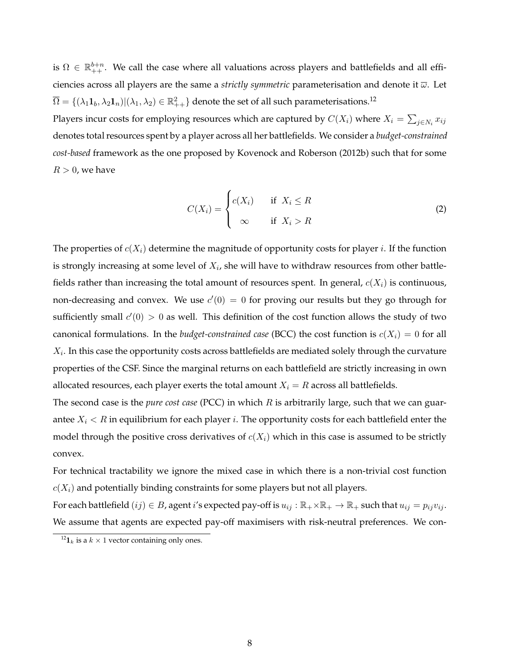is  $\Omega \in \mathbb{R}^{b+n}_{++}$ . We call the case where all valuations across players and battlefields and all efficiencies across all players are the same a *strictly symmetric* parameterisation and denote it ω. Let  $\overline{\Omega}=\{(\lambda_1\bm{1}_b,\lambda_2\bm{1}_n)|(\lambda_1,\lambda_2)\in\mathbb{R}_{++}^2\}$  denote the set of all such parameterisations. $^{12}$ Players incur costs for employing resources which are captured by  $C(X_i)$  where  $X_i = \sum_{j \in N_i} x_{ij}$ 

denotes total resources spent by a player across all her battlefields. We consider a *budget-constrained cost-based* framework as the one proposed by Kovenock and Roberson (2012b) such that for some  $R > 0$ , we have

$$
C(X_i) = \begin{cases} c(X_i) & \text{if } X_i \le R \\ \infty & \text{if } X_i > R \end{cases}
$$
 (2)

The properties of  $c(X_i)$  determine the magnitude of opportunity costs for player *i*. If the function is strongly increasing at some level of  $X_i$ , she will have to withdraw resources from other battlefields rather than increasing the total amount of resources spent. In general,  $c(X_i)$  is continuous, non-decreasing and convex. We use  $c'(0) = 0$  for proving our results but they go through for sufficiently small  $c'(0) > 0$  as well. This definition of the cost function allows the study of two canonical formulations. In the *budget-constrained case* (BCC) the cost function is  $c(X_i) = 0$  for all  $X_i$ . In this case the opportunity costs across battlefields are mediated solely through the curvature properties of the CSF. Since the marginal returns on each battlefield are strictly increasing in own allocated resources, each player exerts the total amount  $X_i = R$  across all battlefields.

The second case is the *pure cost case* (PCC) in which R is arbitrarily large, such that we can guarantee  $X_i < R$  in equilibrium for each player *i*. The opportunity costs for each battlefield enter the model through the positive cross derivatives of  $c(X_i)$  which in this case is assumed to be strictly convex.

For technical tractability we ignore the mixed case in which there is a non-trivial cost function  $c(X_i)$  and potentially binding constraints for some players but not all players.

For each battlefield  $(ij) \in B$ , agent i's expected pay-off is  $u_{ij} : \mathbb{R}_+ \times \mathbb{R}_+ \to \mathbb{R}_+$  such that  $u_{ij} = p_{ij}v_{ij}$ . We assume that agents are expected pay-off maximisers with risk-neutral preferences. We con-

 $^{12}$ **1**<sub>k</sub> is a  $k \times 1$  vector containing only ones.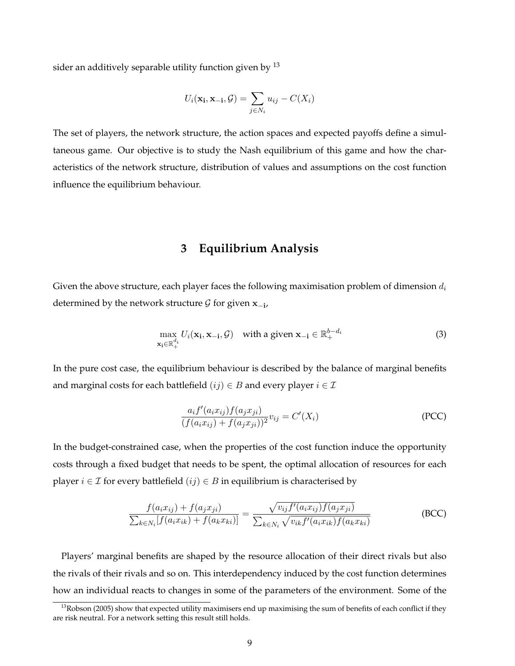sider an additively separable utility function given by  $^{13}$ 

$$
U_i(\mathbf{x_i}, \mathbf{x_{-i}}, \mathcal{G}) = \sum_{j \in N_i} u_{ij} - C(X_i)
$$

The set of players, the network structure, the action spaces and expected payoffs define a simultaneous game. Our objective is to study the Nash equilibrium of this game and how the characteristics of the network structure, distribution of values and assumptions on the cost function influence the equilibrium behaviour.

# **3 Equilibrium Analysis**

Given the above structure, each player faces the following maximisation problem of dimension  $d_i$ determined by the network structure  $\mathcal G$  for given  $\mathbf x_{-i}$ ,

$$
\max_{\mathbf{x_i} \in \mathbb{R}_+^{d_i}} U_i(\mathbf{x_i}, \mathbf{x_{-i}}, \mathcal{G}) \quad \text{with a given } \mathbf{x_{-i}} \in \mathbb{R}_+^{b-d_i}
$$
\n(3)

In the pure cost case, the equilibrium behaviour is described by the balance of marginal benefits and marginal costs for each battlefield  $(ij) \in B$  and every player  $i \in \mathcal{I}$ 

$$
\frac{a_i f'(a_i x_{ij}) f(a_j x_{ji})}{(f(a_i x_{ij}) + f(a_j x_{ji}))^2} v_{ij} = C'(X_i)
$$
\n(PCC)

In the budget-constrained case, when the properties of the cost function induce the opportunity costs through a fixed budget that needs to be spent, the optimal allocation of resources for each player  $i \in \mathcal{I}$  for every battlefield  $(ij) \in B$  in equilibrium is characterised by

$$
\frac{f(a_i x_{ij}) + f(a_j x_{ji})}{\sum_{k \in N_i} [f(a_i x_{ik}) + f(a_k x_{ki})]} = \frac{\sqrt{v_{ij} f'(a_i x_{ij}) f(a_j x_{ji})}}{\sum_{k \in N_i} \sqrt{v_{ik} f'(a_i x_{ik}) f(a_k x_{ki})}}
$$
(BCC)

Players' marginal benefits are shaped by the resource allocation of their direct rivals but also the rivals of their rivals and so on. This interdependency induced by the cost function determines how an individual reacts to changes in some of the parameters of the environment. Some of the

 $13$ Robson (2005) show that expected utility maximisers end up maximising the sum of benefits of each conflict if they are risk neutral. For a network setting this result still holds.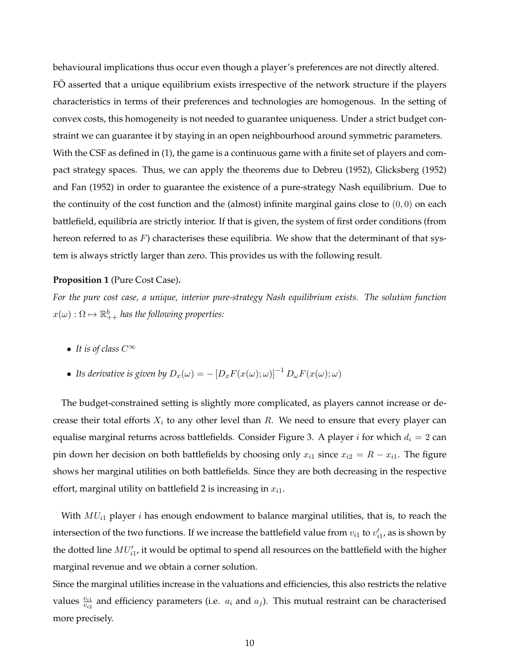behavioural implications thus occur even though a player's preferences are not directly altered. FO asserted that a unique equilibrium exists irrespective of the network structure if the players characteristics in terms of their preferences and technologies are homogenous. In the setting of convex costs, this homogeneity is not needed to guarantee uniqueness. Under a strict budget constraint we can guarantee it by staying in an open neighbourhood around symmetric parameters. With the CSF as defined in (1), the game is a continuous game with a finite set of players and compact strategy spaces. Thus, we can apply the theorems due to Debreu (1952), Glicksberg (1952) and Fan (1952) in order to guarantee the existence of a pure-strategy Nash equilibrium. Due to the continuity of the cost function and the (almost) infinite marginal gains close to  $(0, 0)$  on each battlefield, equilibria are strictly interior. If that is given, the system of first order conditions (from hereon referred to as  $F$ ) characterises these equilibria. We show that the determinant of that system is always strictly larger than zero. This provides us with the following result.

#### **Proposition 1** (Pure Cost Case)**.**

*For the pure cost case, a unique, interior pure-strategy Nash equilibrium exists. The solution function*  $x(\omega): \Omega \mapsto \mathbb{R}^b_{++}$  has the following properties:

- *It is of class* <sup>C</sup><sup>∞</sup>
- Its derivative is given by  $D_x(\omega) = -\left[D_x F(x(\omega); \omega)\right]^{-1} D_\omega F(x(\omega); \omega)$

The budget-constrained setting is slightly more complicated, as players cannot increase or decrease their total efforts  $X_i$  to any other level than  $R$ . We need to ensure that every player can equalise marginal returns across battlefields. Consider Figure 3. A player i for which  $d_i = 2$  can pin down her decision on both battlefields by choosing only  $x_{i1}$  since  $x_{i2} = R - x_{i1}$ . The figure shows her marginal utilities on both battlefields. Since they are both decreasing in the respective effort, marginal utility on battlefield 2 is increasing in  $x_{i1}$ .

With  $MU_{i1}$  player *i* has enough endowment to balance marginal utilities, that is, to reach the intersection of the two functions. If we increase the battlefield value from  $v_{i1}$  to  $v'_{i1}$ , as is shown by the dotted line  $MU'_{i1}$ , it would be optimal to spend all resources on the battlefield with the higher marginal revenue and we obtain a corner solution.

Since the marginal utilities increase in the valuations and efficiencies, this also restricts the relative values  $\frac{v_{i1}}{v_{i2}}$  and efficiency parameters (i.e.  $a_i$  and  $a_j$ ). This mutual restraint can be characterised more precisely.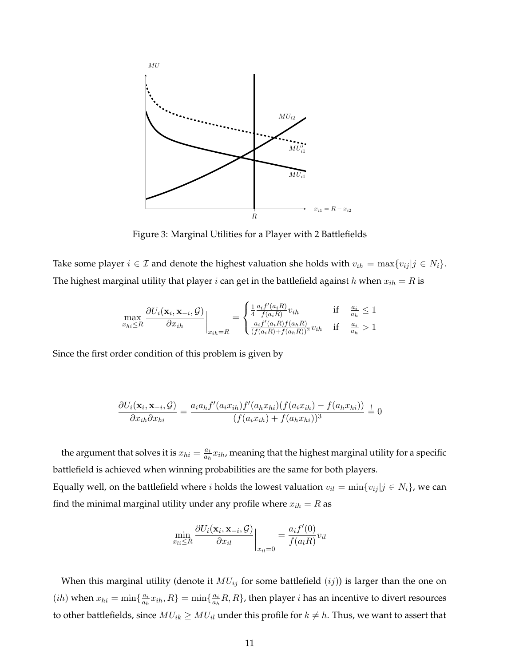

Figure 3: Marginal Utilities for a Player with 2 Battlefields

Take some player  $i \in \mathcal{I}$  and denote the highest valuation she holds with  $v_{ih} = \max\{v_{ij} | j \in N_i\}$ . The highest marginal utility that player *i* can get in the battlefield against *h* when  $x_{ih} = R$  is

$$
\max_{x_{hi}\leq R} \frac{\partial U_i(\mathbf{x}_i, \mathbf{x}_{-i}, \mathcal{G})}{\partial x_{ih}}\bigg|_{x_{ih}=R} = \begin{cases} \frac{1}{4} \frac{a_i f'(a_i R)}{f(a_i R)} v_{ih} & \text{if } \frac{a_i}{a_h} \leq 1\\ \frac{a_i f'(a_i R)f(a_h R)}{(f(a_i R) + f(a_h R))^2} v_{ih} & \text{if } \frac{a_i}{a_h} > 1 \end{cases}
$$

Since the first order condition of this problem is given by

$$
\frac{\partial U_i(\mathbf{x}_i,\mathbf{x}_{-i},\mathcal{G})}{\partial x_{ih}\partial x_{hi}}=\frac{a_i a_h f'(a_i x_{ih}) f'(a_h x_{hi})(f(a_i x_{ih})-f(a_h x_{hi}))}{(f(a_i x_{ih})+f(a_h x_{hi}))^3}\stackrel{!}{=}0
$$

the argument that solves it is  $x_{hi} = \frac{a_i}{a_i}$  $\frac{a_i}{a_h}x_{ih}$ , meaning that the highest marginal utility for a specific battlefield is achieved when winning probabilities are the same for both players. Equally well, on the battlefield where *i* holds the lowest valuation  $v_{il} = \min\{v_{ij} | j \in N_i\}$ , we can

find the minimal marginal utility under any profile where 
$$
x_{ih} = R
$$
 as

$$
\min_{x_{li} \leq R} \frac{\partial U_i(\mathbf{x}_i, \mathbf{x}_{-i}, \mathcal{G})}{\partial x_{il}} \bigg|_{x_{il} = 0} = \frac{a_i f'(0)}{f(a_l R)} v_{il}
$$

When this marginal utility (denote it  $MU_{ij}$  for some battlefield  $(ij)$ ) is larger than the one on  $(ih)$  when  $x_{hi} = \min\{\frac{a_i}{a_h}\}$  $\frac{a_i}{a_h}x_{ih},R$ } = min $\{\frac{a_i}{a_h}\}$  $\frac{a_i}{a_h}R, R$ }, then player  $i$  has an incentive to divert resources to other battlefields, since  $MU_{ik} \geq MU_{il}$  under this profile for  $k \neq h$ . Thus, we want to assert that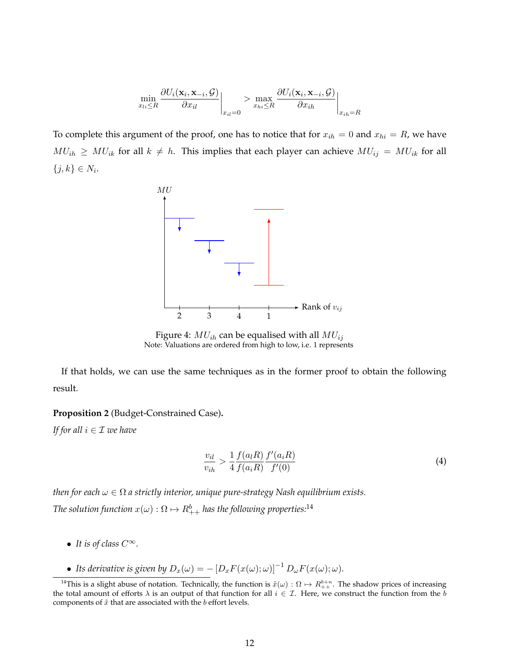$$
\min_{x_{li} \leq R} \frac{\partial U_i(\mathbf{x}_i, \mathbf{x}_{-i}, \mathcal{G})}{\partial x_{il}} \bigg|_{x_{il} = 0} > \max_{x_{hi} \leq R} \frac{\partial U_i(\mathbf{x}_i, \mathbf{x}_{-i}, \mathcal{G})}{\partial x_{ih}} \bigg|_{x_{ih} = R}
$$

To complete this argument of the proof, one has to notice that for  $x_{ih} = 0$  and  $x_{hi} = R$ , we have  $MU_{ih} \geq MU_{ik}$  for all  $k \neq h$ . This implies that each player can achieve  $MU_{ij} = MU_{ik}$  for all  $\{j, k\} \in N_i$ .



Figure 4:  $MU_{ih}$  can be equalised with all  $MU_{ij}$ Note: Valuations are ordered from high to low, i.e. 1 represents

If that holds, we can use the same techniques as in the former proof to obtain the following result.

#### **Proposition 2** (Budget-Constrained Case)**.**

*If for all*  $i \in \mathcal{I}$  *we have* 

$$
\frac{v_{il}}{v_{ih}} > \frac{1}{4} \frac{f(a_l R)}{f(a_i R)} \frac{f'(a_i R)}{f'(0)}
$$
(4)

*then for each*  $\omega \in \Omega$  *a strictly interior, unique pure-strategy Nash equilibrium exists.* The solution function  $x(\omega):\Omega\mapsto R^b_{++}$  has the following properties: $^{14}$ 

- *It is of class* <sup>C</sup>∞*.*
- Its derivative is given by  $D_x(\omega) = -\left[D_x F(x(\omega); \omega)\right]^{-1} D_\omega F(x(\omega); \omega)$ .

<sup>&</sup>lt;sup>14</sup>This is a slight abuse of notation. Technically, the function is  $\tilde{x}(\omega):\Omega\mapsto R_{++}^{b+n}$ . The shadow prices of increasing the total amount of efforts  $\lambda$  is an output of that function for all  $i \in \mathcal{I}$ . Here, we construct the function from the b components of  $\tilde{x}$  that are associated with the b effort levels.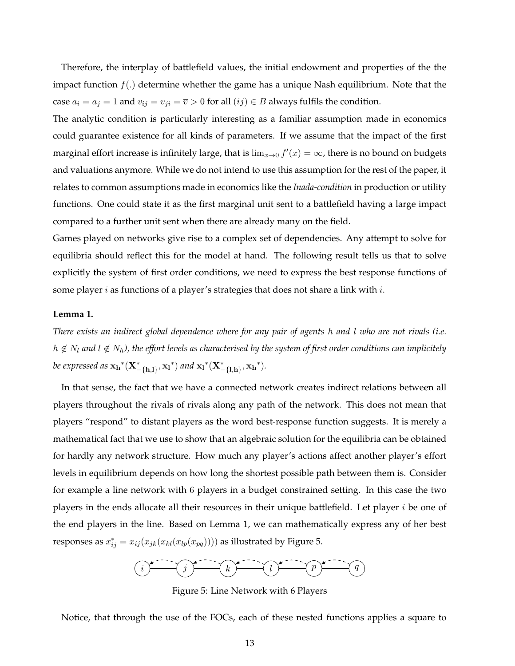Therefore, the interplay of battlefield values, the initial endowment and properties of the the impact function  $f(.)$  determine whether the game has a unique Nash equilibrium. Note that the case  $a_i = a_j = 1$  and  $v_{ij} = v_{ji} = \overline{v} > 0$  for all  $(ij) \in B$  always fulfils the condition.

The analytic condition is particularly interesting as a familiar assumption made in economics could guarantee existence for all kinds of parameters. If we assume that the impact of the first marginal effort increase is infinitely large, that is  $\lim_{x\to 0} f'(x) = \infty$ , there is no bound on budgets and valuations anymore. While we do not intend to use this assumption for the rest of the paper, it relates to common assumptions made in economics like the *Inada-condition* in production or utility functions. One could state it as the first marginal unit sent to a battlefield having a large impact compared to a further unit sent when there are already many on the field.

Games played on networks give rise to a complex set of dependencies. Any attempt to solve for equilibria should reflect this for the model at hand. The following result tells us that to solve explicitly the system of first order conditions, we need to express the best response functions of some player  $i$  as functions of a player's strategies that does not share a link with  $i$ .

# **Lemma 1.**

*There exists an indirect global dependence where for any pair of agents* h *and* l *who are not rivals (i.e.*  $h \notin N_l$  and  $l \notin N_h$ ), the effort levels as characterised by the system of first order conditions can implicitely *be expressed as*  $\mathbf{x_h}^*(\mathbf{X}_{-\{\mathbf{h},\mathbf{l}\}}^*,\mathbf{x_l}^*)$  and  $\mathbf{x_l}^*(\mathbf{X}_{-\{\mathbf{l},\mathbf{h}\}}^*,\mathbf{x_h}^*)$ .

In that sense, the fact that we have a connected network creates indirect relations between all players throughout the rivals of rivals along any path of the network. This does not mean that players "respond" to distant players as the word best-response function suggests. It is merely a mathematical fact that we use to show that an algebraic solution for the equilibria can be obtained for hardly any network structure. How much any player's actions affect another player's effort levels in equilibrium depends on how long the shortest possible path between them is. Consider for example a line network with 6 players in a budget constrained setting. In this case the two players in the ends allocate all their resources in their unique battlefield. Let player  $i$  be one of the end players in the line. Based on Lemma 1, we can mathematically express any of her best responses as  $x_{ij}^* = x_{ij} (x_{jk}(x_{kl}(x_{lp}(x_{pq}))))$  as illustrated by Figure 5.



Figure 5: Line Network with 6 Players

Notice, that through the use of the FOCs, each of these nested functions applies a square to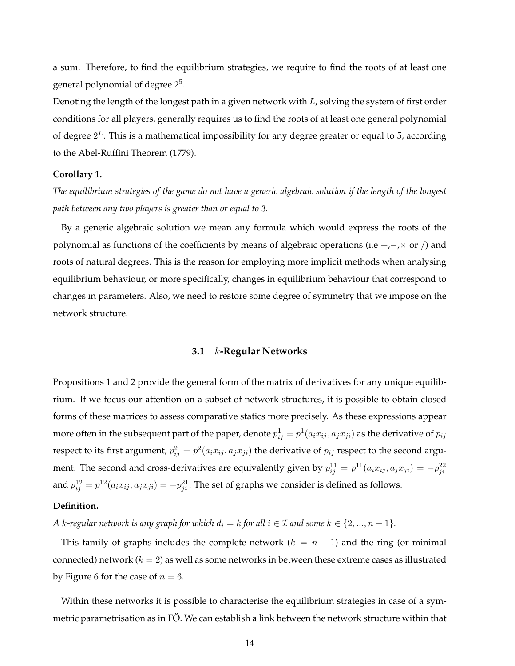a sum. Therefore, to find the equilibrium strategies, we require to find the roots of at least one general polynomial of degree  $2^5$ .

Denoting the length of the longest path in a given network with  $L$ , solving the system of first order conditions for all players, generally requires us to find the roots of at least one general polynomial of degree  $2^L$ . This is a mathematical impossibility for any degree greater or equal to 5, according to the Abel-Ruffini Theorem (1779).

#### **Corollary 1.**

*The equilibrium strategies of the game do not have a generic algebraic solution if the length of the longest path between any two players is greater than or equal to* 3*.*

By a generic algebraic solution we mean any formula which would express the roots of the polynomial as functions of the coefficients by means of algebraic operations (i.e +,−, $\times$  or /) and roots of natural degrees. This is the reason for employing more implicit methods when analysing equilibrium behaviour, or more specifically, changes in equilibrium behaviour that correspond to changes in parameters. Also, we need to restore some degree of symmetry that we impose on the network structure.

# **3.1** k**-Regular Networks**

Propositions 1 and 2 provide the general form of the matrix of derivatives for any unique equilibrium. If we focus our attention on a subset of network structures, it is possible to obtain closed forms of these matrices to assess comparative statics more precisely. As these expressions appear more often in the subsequent part of the paper, denote  $p_{ij}^1=p^1(a_ix_{ij},a_jx_{ji})$  as the derivative of  $p_{ij}$ respect to its first argument,  $p_{ij}^2 = p^2(a_ix_{ij},a_jx_{ji})$  the derivative of  $p_{ij}$  respect to the second argument. The second and cross-derivatives are equivalently given by  $p_{ij}^{11} = p^{11}(a_i x_{ij}, a_j x_{ji}) = -p_{ji}^{22}$ and  $p_{ij}^{12} = p^{12}(a_i x_{ij}, a_j x_{ji}) = -p_{ji}^{21}$ . The set of graphs we consider is defined as follows.

#### **Definition.**

*A* k-regular network is any graph for which  $d_i = k$  for all  $i \in \mathcal{I}$  and some  $k \in \{2, ..., n-1\}$ .

This family of graphs includes the complete network  $(k = n - 1)$  and the ring (or minimal connected) network  $(k = 2)$  as well as some networks in between these extreme cases as illustrated by Figure 6 for the case of  $n = 6$ .

Within these networks it is possible to characterise the equilibrium strategies in case of a symmetric parametrisation as in FÖ. We can establish a link between the network structure within that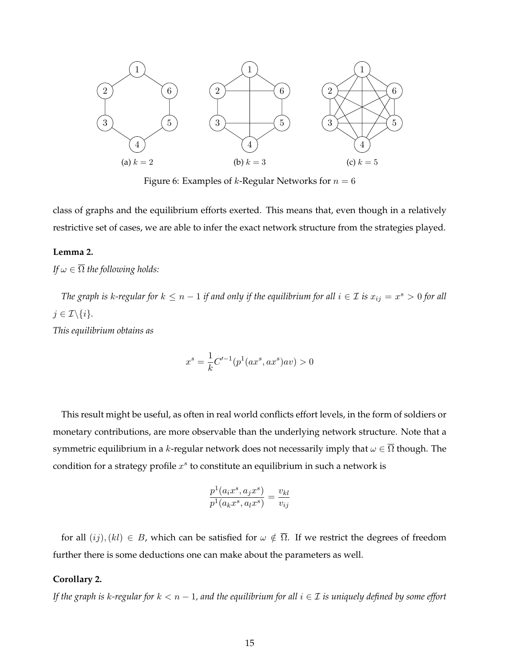

Figure 6: Examples of *k*-Regular Networks for  $n = 6$ 

class of graphs and the equilibrium efforts exerted. This means that, even though in a relatively restrictive set of cases, we are able to infer the exact network structure from the strategies played.

#### **Lemma 2.**

*If*  $\omega \in \overline{\Omega}$  *the following holds:* 

*The graph is k-regular for*  $k \leq n-1$  *if and only if the equilibrium for all*  $i \in \mathcal{I}$  *is*  $x_{ij} = x^s > 0$  *for all*  $j \in \mathcal{I} \backslash \{i\}.$ 

*This equilibrium obtains as*

$$
x^{s} = \frac{1}{k}C'^{-1}(p^{1}(ax^{s}, ax^{s})av) > 0
$$

This result might be useful, as often in real world conflicts effort levels, in the form of soldiers or monetary contributions, are more observable than the underlying network structure. Note that a symmetric equilibrium in a k-regular network does not necessarily imply that  $\omega \in \overline{\Omega}$  though. The condition for a strategy profile  $x^s$  to constitute an equilibrium in such a network is

$$
\frac{p^1(a_ix^s, a_jx^s)}{p^1(a_kx^s, a_lx^s)} = \frac{v_{kl}}{v_{ij}}
$$

for all  $(ij)$ ,  $(kl) \in B$ , which can be satisfied for  $\omega \notin \overline{\Omega}$ . If we restrict the degrees of freedom further there is some deductions one can make about the parameters as well.

#### **Corollary 2.**

*If the graph is* k*-regular for* k < n − 1*, and the equilibrium for all* i ∈ I *is uniquely defined by some effort*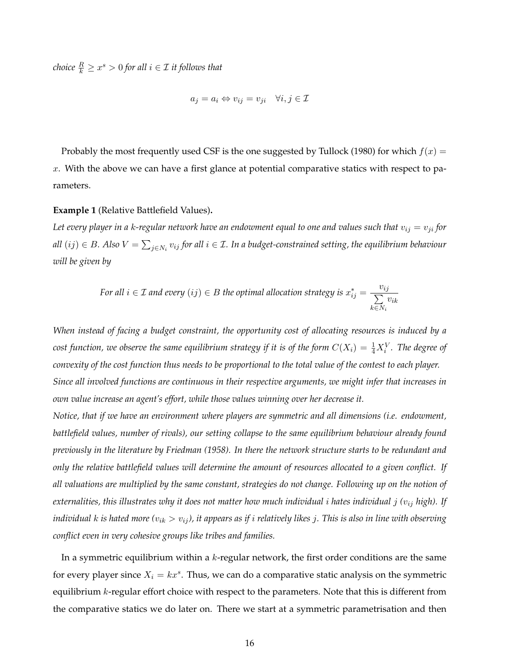${\it choice} \ \frac{R}{k} \geq x^s > 0$  for all  $i \in \mathcal{I}$  it follows that

$$
a_j = a_i \Leftrightarrow v_{ij} = v_{ji} \quad \forall i, j \in \mathcal{I}
$$

Probably the most frequently used CSF is the one suggested by Tullock (1980) for which  $f(x) =$  $x$ . With the above we can have a first glance at potential comparative statics with respect to parameters.

#### **Example 1** (Relative Battlefield Values)**.**

Let every player in a k-regular network have an endowment equal to one and values such that  $v_{ij} = v_{ji}$  for all  $(ij)\in B$ . Also  $V=\sum_{j\in N_i}v_{ij}$  for all  $i\in\mathcal{I}$ . In a budget-constrained setting, the equilibrium behaviour *will be given by*

For all 
$$
i \in \mathcal{I}
$$
 and every  $(ij) \in B$  the optimal allocation strategy is  $x_{ij}^* = \frac{v_{ij}}{\sum_{k \in N_i} v_{ik}}$ 

*When instead of facing a budget constraint, the opportunity cost of allocating resources is induced by a* cost function, we observe the same equilibrium strategy if it is of the form  $C(X_i) = \frac{1}{4}X_i^V$ . The degree of *convexity of the cost function thus needs to be proportional to the total value of the contest to each player. Since all involved functions are continuous in their respective arguments, we might infer that increases in own value increase an agent's effort, while those values winning over her decrease it.*

*Notice, that if we have an environment where players are symmetric and all dimensions (i.e. endowment, battlefield values, number of rivals), our setting collapse to the same equilibrium behaviour already found previously in the literature by Friedman (1958). In there the network structure starts to be redundant and only the relative battlefield values will determine the amount of resources allocated to a given conflict. If all valuations are multiplied by the same constant, strategies do not change. Following up on the notion of externalities, this illustrates why it does not matter how much individual* i *hates individual* j *(*vij *high). If individual*  $k$  *is hated more*  $(v_{ik} > v_{ij})$ , it appears as if *i* relatively likes *j*. This is also in line with observing *conflict even in very cohesive groups like tribes and families.*

In a symmetric equilibrium within a  $k$ -regular network, the first order conditions are the same for every player since  $X_i = kx^s$ . Thus, we can do a comparative static analysis on the symmetric equilibrium  $k$ -regular effort choice with respect to the parameters. Note that this is different from the comparative statics we do later on. There we start at a symmetric parametrisation and then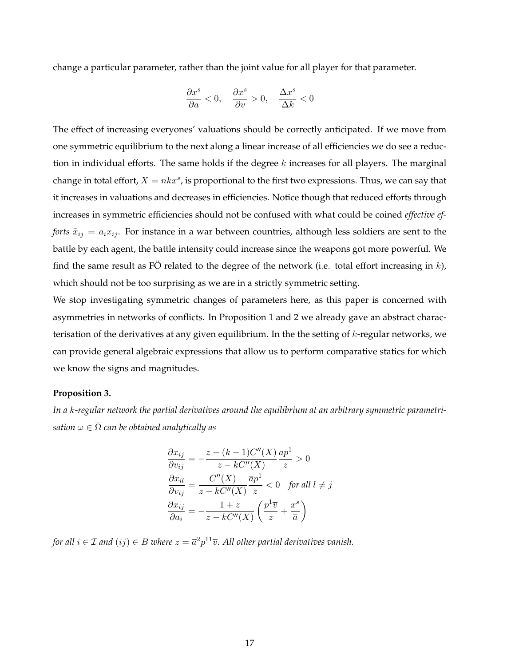change a particular parameter, rather than the joint value for all player for that parameter.

$$
\frac{\partial x^s}{\partial a} < 0, \quad \frac{\partial x^s}{\partial v} > 0, \quad \frac{\Delta x^s}{\Delta k} < 0
$$

The effect of increasing everyones' valuations should be correctly anticipated. If we move from one symmetric equilibrium to the next along a linear increase of all efficiencies we do see a reduction in individual efforts. The same holds if the degree  $k$  increases for all players. The marginal change in total effort,  $X = n k x^s$ , is proportional to the first two expressions. Thus, we can say that it increases in valuations and decreases in efficiencies. Notice though that reduced efforts through increases in symmetric efficiencies should not be confused with what could be coined *effective efforts*  $\tilde{x}_{ij} = a_i x_{ij}$ . For instance in a war between countries, although less soldiers are sent to the battle by each agent, the battle intensity could increase since the weapons got more powerful. We find the same result as FO related to the degree of the network (i.e. total effort increasing in  $k$ ), which should not be too surprising as we are in a strictly symmetric setting.

We stop investigating symmetric changes of parameters here, as this paper is concerned with asymmetries in networks of conflicts. In Proposition 1 and 2 we already gave an abstract characterisation of the derivatives at any given equilibrium. In the the setting of  $k$ -regular networks, we can provide general algebraic expressions that allow us to perform comparative statics for which we know the signs and magnitudes.

#### **Proposition 3.**

*In a* k*-regular network the partial derivatives around the equilibrium at an arbitrary symmetric parametrisation*  $\omega \in \overline{\Omega}$  *can be obtained analytically as* 

$$
\frac{\partial x_{ij}}{\partial v_{ij}} = -\frac{z - (k-1)C''(X)}{z - kC''(X)} \frac{\overline{a}p^1}{z} > 0
$$

$$
\frac{\partial x_{il}}{\partial v_{ij}} = \frac{C''(X)}{z - kC''(X)} \frac{\overline{a}p^1}{z} < 0 \quad \text{for all } l \neq j
$$

$$
\frac{\partial x_{ij}}{\partial a_i} = -\frac{1+z}{z - kC''(X)} \left(\frac{p^1 \overline{v}}{z} + \frac{x^s}{\overline{a}}\right)
$$

*for all*  $i \in \mathcal{I}$  and  $(ij) \in B$  where  $z = \overline{a}^2 p^{11} \overline{v}$ . All other partial derivatives vanish.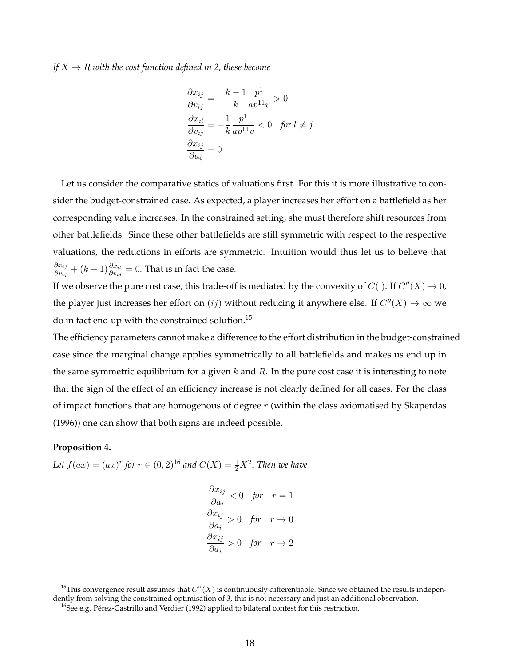*If*  $X \rightarrow R$  *with the cost function defined in 2, these become* 

$$
\frac{\partial x_{ij}}{\partial v_{ij}} = -\frac{k-1}{k} \frac{p^1}{\overline{a}p^{11}\overline{v}} > 0
$$

$$
\frac{\partial x_{il}}{\partial v_{ij}} = -\frac{1}{k} \frac{p^1}{\overline{a}p^{11}\overline{v}} < 0 \quad \text{for } l \neq j
$$

$$
\frac{\partial x_{ij}}{\partial a_i} = 0
$$

Let us consider the comparative statics of valuations first. For this it is more illustrative to consider the budget-constrained case. As expected, a player increases her effort on a battlefield as her corresponding value increases. In the constrained setting, she must therefore shift resources from other battlefields. Since these other battlefields are still symmetric with respect to the respective valuations, the reductions in efforts are symmetric. Intuition would thus let us to believe that  $\partial x_{ij}$  $\frac{\partial x_{ij}}{\partial v_{ij}} + (k-1) \frac{\partial x_{il}}{\partial v_{ij}} = 0.$  That is in fact the case.

If we observe the pure cost case, this trade-off is mediated by the convexity of  $C(\cdot)$ . If  $C''(X) \to 0$ , the player just increases her effort on  $(ij)$  without reducing it anywhere else. If  $C''(X) \to \infty$  we do in fact end up with the constrained solution.<sup>15</sup>

The efficiency parameters cannot make a difference to the effort distribution in the budget-constrained case since the marginal change applies symmetrically to all battlefields and makes us end up in the same symmetric equilibrium for a given  $k$  and  $R$ . In the pure cost case it is interesting to note that the sign of the effect of an efficiency increase is not clearly defined for all cases. For the class of impact functions that are homogenous of degree  $r$  (within the class axiomatised by Skaperdas (1996)) one can show that both signs are indeed possible.

#### **Proposition 4.**

*Let*  $f(ax) = (ax)^r$  for  $r \in (0, 2)^{16}$  and  $C(X) = \frac{1}{2}X^2$ . Then we have

$$
\frac{\partial x_{ij}}{\partial a_i} < 0 \quad \text{for} \quad r = 1
$$
\n
$$
\frac{\partial x_{ij}}{\partial a_i} > 0 \quad \text{for} \quad r \to 0
$$
\n
$$
\frac{\partial x_{ij}}{\partial a_i} > 0 \quad \text{for} \quad r \to 2
$$

<sup>&</sup>lt;sup>15</sup>This convergence result assumes that  $C''(X)$  is continuously differentiable. Since we obtained the results independently from solving the constrained optimisation of 3, this is not necessary and just an additional observation.

 $^{16}$ See e.g. Pérez-Castrillo and Verdier (1992) applied to bilateral contest for this restriction.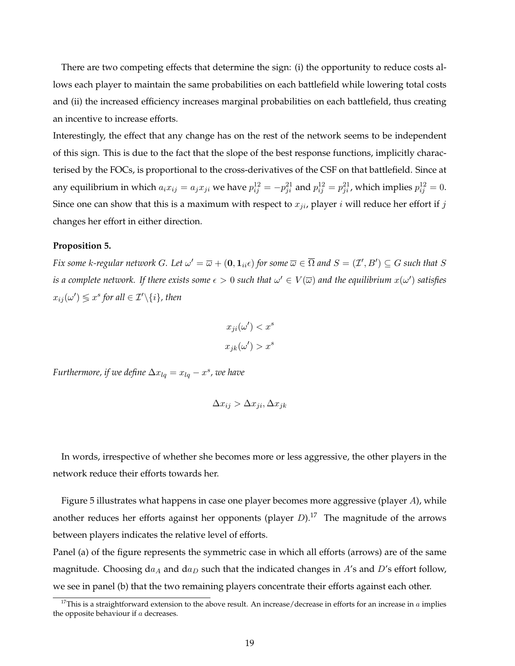There are two competing effects that determine the sign: (i) the opportunity to reduce costs allows each player to maintain the same probabilities on each battlefield while lowering total costs and (ii) the increased efficiency increases marginal probabilities on each battlefield, thus creating an incentive to increase efforts.

Interestingly, the effect that any change has on the rest of the network seems to be independent of this sign. This is due to the fact that the slope of the best response functions, implicitly characterised by the FOCs, is proportional to the cross-derivatives of the CSF on that battlefield. Since at any equilibrium in which  $a_i x_{ij} = a_j x_{ji}$  we have  $p_{ij}^{12} = -p_{ji}^{21}$  and  $p_{ij}^{12} = p_{ji}^{21}$ , which implies  $p_{ij}^{12} = 0$ . Since one can show that this is a maximum with respect to  $x_{ji}$ , player i will reduce her effort if j changes her effort in either direction.

#### **Proposition 5.**

*Fix some k-regular network G. Let*  $\omega' = \overline{\omega} + (0, 1_{ii} \epsilon)$  *for some*  $\overline{\omega} \in \overline{\Omega}$  *and*  $S = (\mathcal{I}', B') \subseteq G$  *such that*  $S$ is a complete network. If there exists some  $\epsilon > 0$  such that  $\omega' \in V(\overline{\omega})$  and the equilibrium  $x(\omega')$  satisfies  $x_{ij}(\omega') \lessgtr x^s$  for all  $\in \mathcal{I}'\backslash\{i\}$ , then

$$
x_{ji}(\omega') < x^s
$$

$$
x_{jk}(\omega') > x^s
$$

*Furthermore, if we define*  $\Delta x_{lq} = x_{lq} - x^s$ , we have

$$
\Delta x_{ij} > \Delta x_{ji}, \Delta x_{jk}
$$

In words, irrespective of whether she becomes more or less aggressive, the other players in the network reduce their efforts towards her.

Figure 5 illustrates what happens in case one player becomes more aggressive (player A), while another reduces her efforts against her opponents (player  $D$ ).<sup>17</sup> The magnitude of the arrows between players indicates the relative level of efforts.

Panel (a) of the figure represents the symmetric case in which all efforts (arrows) are of the same magnitude. Choosing  $da_A$  and  $da_D$  such that the indicated changes in A's and D's effort follow, we see in panel (b) that the two remaining players concentrate their efforts against each other.

<sup>&</sup>lt;sup>17</sup>This is a straightforward extension to the above result. An increase/decrease in efforts for an increase in  $a$  implies the opposite behaviour if a decreases.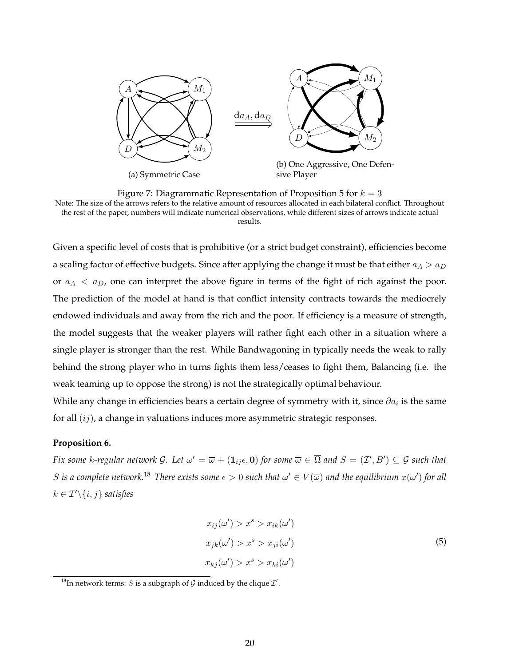

Figure 7: Diagrammatic Representation of Proposition 5 for  $k = 3$ Note: The size of the arrows refers to the relative amount of resources allocated in each bilateral conflict. Throughout the rest of the paper, numbers will indicate numerical observations, while different sizes of arrows indicate actual results.

Given a specific level of costs that is prohibitive (or a strict budget constraint), efficiencies become a scaling factor of effective budgets. Since after applying the change it must be that either  $a_A > a_D$ or  $a_A < a_D$ , one can interpret the above figure in terms of the fight of rich against the poor. The prediction of the model at hand is that conflict intensity contracts towards the mediocrely endowed individuals and away from the rich and the poor. If efficiency is a measure of strength, the model suggests that the weaker players will rather fight each other in a situation where a single player is stronger than the rest. While Bandwagoning in typically needs the weak to rally behind the strong player who in turns fights them less/ceases to fight them, Balancing (i.e. the weak teaming up to oppose the strong) is not the strategically optimal behaviour.

While any change in efficiencies bears a certain degree of symmetry with it, since  $\partial a_i$  is the same for all  $(ij)$ , a change in valuations induces more asymmetric strategic responses.

#### **Proposition 6.**

*Fix some k-regular network G. Let*  $\omega' = \overline{\omega} + (1_{ij}\epsilon, 0)$  *for some*  $\overline{\omega} \in \overline{\Omega}$  *and*  $S = (\mathcal{I}', B') \subseteq \mathcal{G}$  *such that*  $S$  is a complete network.<sup>18</sup> There exists some  $\epsilon > 0$  such that  $\omega' \in V(\overline{\omega})$  and the equilibrium  $x(\omega')$  for all  $k \in \mathcal{I}' \backslash \{i, j\}$  *satisfies* 

$$
x_{ij}(\omega') > x^s > x_{ik}(\omega')
$$
  
\n
$$
x_{jk}(\omega') > x^s > x_{ji}(\omega')
$$
  
\n
$$
x_{kj}(\omega') > x^s > x_{ki}(\omega')
$$
 (5)

<sup>&</sup>lt;sup>18</sup>In network terms: *S* is a subgraph of *G* induced by the clique  $\mathcal{I}'$ .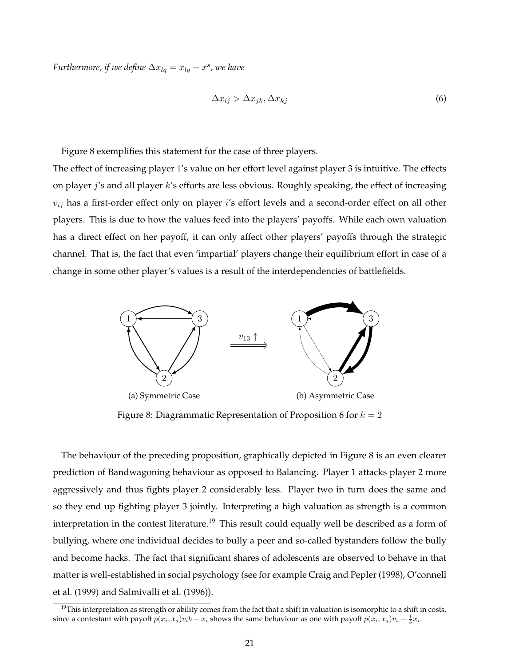*Furthermore, if we define*  $\Delta x_{lq} = x_{lq} - x^s$ , we have

$$
\Delta x_{ij} > \Delta x_{jk}, \Delta x_{kj} \tag{6}
$$

Figure 8 exemplifies this statement for the case of three players.

The effect of increasing player 1's value on her effort level against player 3 is intuitive. The effects on player j's and all player k's efforts are less obvious. Roughly speaking, the effect of increasing  $v_{ij}$  has a first-order effect only on player i's effort levels and a second-order effect on all other players. This is due to how the values feed into the players' payoffs. While each own valuation has a direct effect on her payoff, it can only affect other players' payoffs through the strategic channel. That is, the fact that even 'impartial' players change their equilibrium effort in case of a change in some other player's values is a result of the interdependencies of battlefields.



Figure 8: Diagrammatic Representation of Proposition 6 for  $k = 2$ 

The behaviour of the preceding proposition, graphically depicted in Figure 8 is an even clearer prediction of Bandwagoning behaviour as opposed to Balancing. Player 1 attacks player 2 more aggressively and thus fights player 2 considerably less. Player two in turn does the same and so they end up fighting player 3 jointly. Interpreting a high valuation as strength is a common interpretation in the contest literature.<sup>19</sup> This result could equally well be described as a form of bullying, where one individual decides to bully a peer and so-called bystanders follow the bully and become hacks. The fact that significant shares of adolescents are observed to behave in that matter is well-established in social psychology (see for example Craig and Pepler (1998), O'connell et al. (1999) and Salmivalli et al. (1996)).

 $19$ This interpretation as strength or ability comes from the fact that a shift in valuation is isomorphic to a shift in costs, since a contestant with payoff  $p(x_i, x_j)v_i b - x_i$  shows the same behaviour as one with payoff  $p(x_i, x_j)v_i - \frac{1}{b}x_i$ .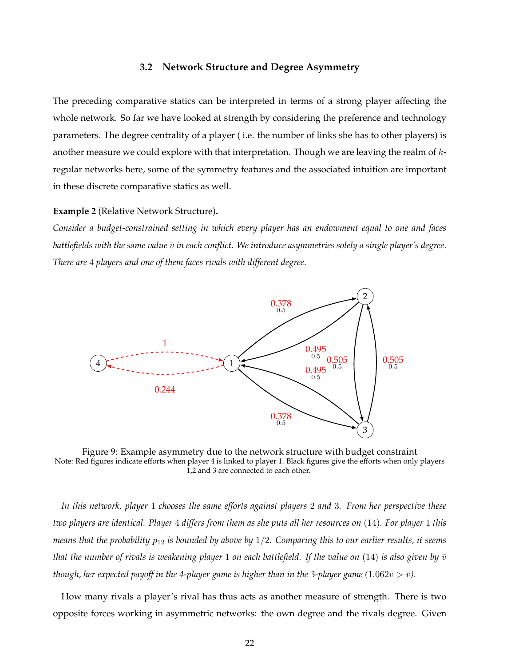#### **3.2 Network Structure and Degree Asymmetry**

The preceding comparative statics can be interpreted in terms of a strong player affecting the whole network. So far we have looked at strength by considering the preference and technology parameters. The degree centrality of a player ( i.e. the number of links she has to other players) is another measure we could explore with that interpretation. Though we are leaving the realm of  $k$ regular networks here, some of the symmetry features and the associated intuition are important in these discrete comparative statics as well.

#### **Example 2** (Relative Network Structure)**.**

*Consider a budget-constrained setting in which every player has an endowment equal to one and faces battlefields with the same value*  $\bar{v}$  *in each conflict. We introduce asymmetries solely a single player's degree. There are* 4 *players and one of them faces rivals with different degree.*



Figure 9: Example asymmetry due to the network structure with budget constraint Note: Red figures indicate efforts when player 4 is linked to player 1. Black figures give the efforts when only players 1,2 and 3 are connected to each other.

*In this network, player* 1 *chooses the same efforts against players* 2 *and* 3*. From her perspective these two players are identical. Player* 4 *differs from them as she puts all her resources on* (14)*. For player* 1 *this means that the probability* p<sup>12</sup> *is bounded by above by* 1/2*. Comparing this to our earlier results, it seems that the number of rivals is weakening player* 1 *on each battlefield. If the value on* (14) *is also given by*  $\bar{v}$ *though, her expected payoff in the 4-player game is higher than in the 3-player game (1.062* $\bar{v} > \bar{v}$ *).* 

How many rivals a player's rival has thus acts as another measure of strength. There is two opposite forces working in asymmetric networks: the own degree and the rivals degree. Given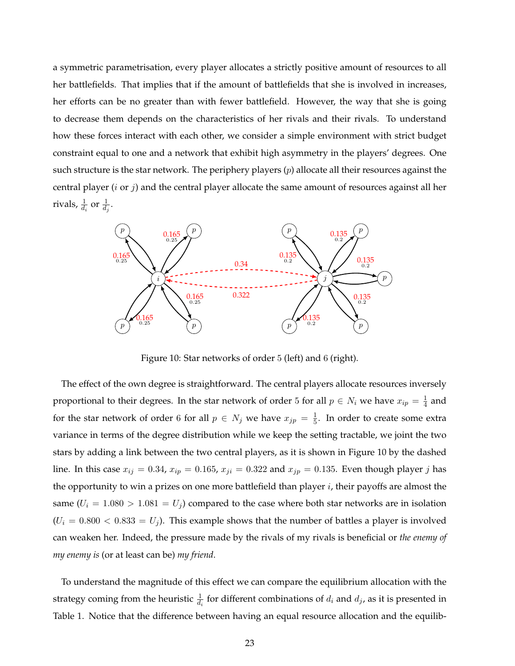a symmetric parametrisation, every player allocates a strictly positive amount of resources to all her battlefields. That implies that if the amount of battlefields that she is involved in increases, her efforts can be no greater than with fewer battlefield. However, the way that she is going to decrease them depends on the characteristics of her rivals and their rivals. To understand how these forces interact with each other, we consider a simple environment with strict budget constraint equal to one and a network that exhibit high asymmetry in the players' degrees. One such structure is the star network. The periphery players  $(p)$  allocate all their resources against the central player  $(i \text{ or } j)$  and the central player allocate the same amount of resources against all her rivals,  $\frac{1}{d_i}$  or  $\frac{1}{d_j}$ .



Figure 10: Star networks of order 5 (left) and 6 (right).

The effect of the own degree is straightforward. The central players allocate resources inversely proportional to their degrees. In the star network of order 5 for all  $p \in N_i$  we have  $x_{ip} = \frac{1}{4}$  $\frac{1}{4}$  and for the star network of order 6 for all  $p \in N_j$  we have  $x_{jp} = \frac{1}{5}$  $\frac{1}{5}$ . In order to create some extra variance in terms of the degree distribution while we keep the setting tractable, we joint the two stars by adding a link between the two central players, as it is shown in Figure 10 by the dashed line. In this case  $x_{ij} = 0.34$ ,  $x_{ip} = 0.165$ ,  $x_{ji} = 0.322$  and  $x_{jp} = 0.135$ . Even though player j has the opportunity to win a prizes on one more battlefield than player  $i$ , their payoffs are almost the same  $(U_i = 1.080 > 1.081 = U_j)$  compared to the case where both star networks are in isolation  $(U_i = 0.800 < 0.833 = U_j)$ . This example shows that the number of battles a player is involved can weaken her. Indeed, the pressure made by the rivals of my rivals is beneficial or *the enemy of my enemy is* (or at least can be) *my friend*.

To understand the magnitude of this effect we can compare the equilibrium allocation with the strategy coming from the heuristic  $\frac{1}{d_i}$  for different combinations of  $d_i$  and  $d_j$ , as it is presented in Table 1. Notice that the difference between having an equal resource allocation and the equilib-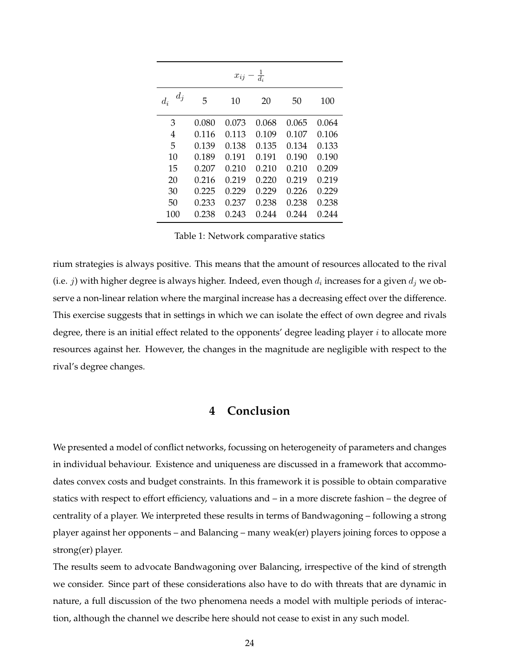|                |       | $x_{ij} - \frac{1}{d_i}$ |       |       |       |
|----------------|-------|--------------------------|-------|-------|-------|
| $d_j$<br>$d_i$ | 5     | 10                       | 20    | 50    | 100   |
| 3              | 0.080 | 0.073                    | 0.068 | 0.065 | 0.064 |
| 4              | 0.116 | 0.113                    | 0.109 | 0.107 | 0.106 |
| 5              | 0.139 | 0.138                    | 0.135 | 0.134 | 0.133 |
| 10             | 0.189 | 0.191                    | 0.191 | 0.190 | 0.190 |
| 15             | 0.207 | 0.210                    | 0.210 | 0.210 | 0.209 |
| 20             | 0.216 | 0.219                    | 0.220 | 0.219 | 0.219 |
| 30             | 0.225 | 0.229                    | 0.229 | 0.226 | 0.229 |
| 50             | 0.233 | 0.237                    | 0.238 | 0.238 | 0.238 |
| 100            | 0.238 | 0.243                    | 0.244 | 0.244 | 0.244 |

Table 1: Network comparative statics

rium strategies is always positive. This means that the amount of resources allocated to the rival (i.e.  $j$ ) with higher degree is always higher. Indeed, even though  $d_i$  increases for a given  $d_j$  we observe a non-linear relation where the marginal increase has a decreasing effect over the difference. This exercise suggests that in settings in which we can isolate the effect of own degree and rivals degree, there is an initial effect related to the opponents' degree leading player  $i$  to allocate more resources against her. However, the changes in the magnitude are negligible with respect to the rival's degree changes.

# **4 Conclusion**

We presented a model of conflict networks, focussing on heterogeneity of parameters and changes in individual behaviour. Existence and uniqueness are discussed in a framework that accommodates convex costs and budget constraints. In this framework it is possible to obtain comparative statics with respect to effort efficiency, valuations and – in a more discrete fashion – the degree of centrality of a player. We interpreted these results in terms of Bandwagoning – following a strong player against her opponents – and Balancing – many weak(er) players joining forces to oppose a strong(er) player.

The results seem to advocate Bandwagoning over Balancing, irrespective of the kind of strength we consider. Since part of these considerations also have to do with threats that are dynamic in nature, a full discussion of the two phenomena needs a model with multiple periods of interaction, although the channel we describe here should not cease to exist in any such model.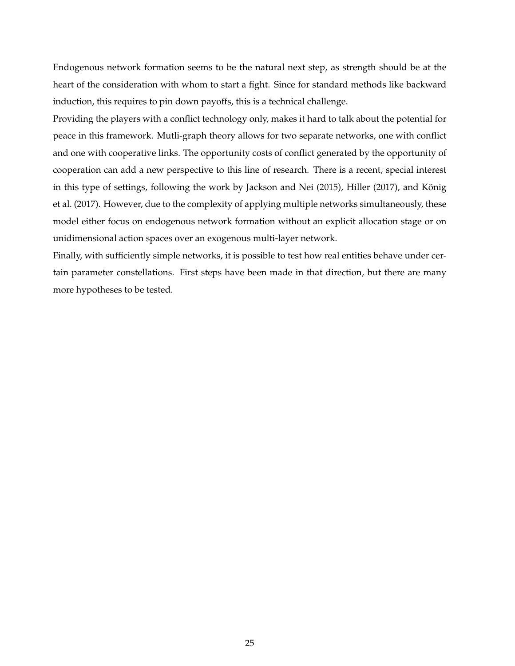Endogenous network formation seems to be the natural next step, as strength should be at the heart of the consideration with whom to start a fight. Since for standard methods like backward induction, this requires to pin down payoffs, this is a technical challenge.

Providing the players with a conflict technology only, makes it hard to talk about the potential for peace in this framework. Mutli-graph theory allows for two separate networks, one with conflict and one with cooperative links. The opportunity costs of conflict generated by the opportunity of cooperation can add a new perspective to this line of research. There is a recent, special interest in this type of settings, following the work by Jackson and Nei (2015), Hiller (2017), and König et al. (2017). However, due to the complexity of applying multiple networks simultaneously, these model either focus on endogenous network formation without an explicit allocation stage or on unidimensional action spaces over an exogenous multi-layer network.

Finally, with sufficiently simple networks, it is possible to test how real entities behave under certain parameter constellations. First steps have been made in that direction, but there are many more hypotheses to be tested.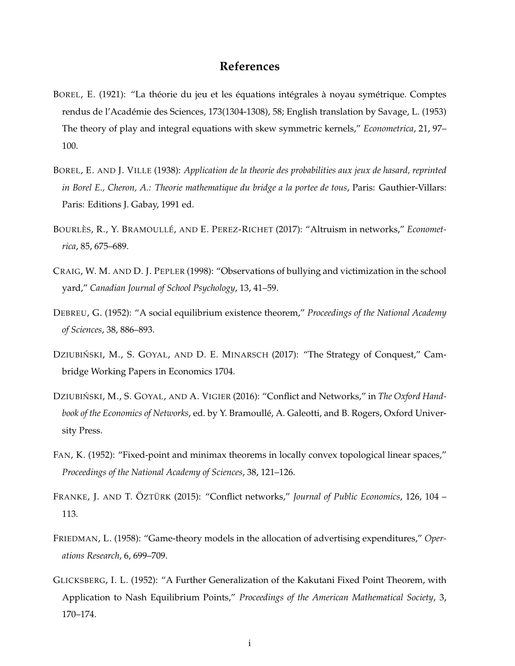# **References**

- BOREL, E. (1921): "La théorie du jeu et les équations intégrales à noyau symétrique. Comptes rendus de l'Académie des Sciences, 173(1304-1308), 58; English translation by Savage, L. (1953) The theory of play and integral equations with skew symmetric kernels," *Econometrica*, 21, 97– 100.
- BOREL, E. AND J. VILLE (1938): *Application de la theorie des probabilities aux jeux de hasard, reprinted in Borel E., Cheron, A.: Theorie mathematique du bridge a la portee de tous*, Paris: Gauthier-Villars: Paris: Editions J. Gabay, 1991 ed.
- BOURLÈS, R., Y. BRAMOULLÉ, AND E. PEREZ-RICHET (2017): "Altruism in networks," *Econometrica*, 85, 675–689.
- CRAIG, W. M. AND D. J. PEPLER (1998): "Observations of bullying and victimization in the school yard," *Canadian Journal of School Psychology*, 13, 41–59.
- DEBREU, G. (1952): "A social equilibrium existence theorem," *Proceedings of the National Academy of Sciences*, 38, 886–893.
- DZIUBIŃSKI, M., S. GOYAL, AND D. E. MINARSCH (2017): "The Strategy of Conquest," Cambridge Working Papers in Economics 1704.
- DZIUBIŃSKI, M., S. GOYAL, AND A. VIGIER (2016): "Conflict and Networks," in *The Oxford Handbook of the Economics of Networks*, ed. by Y. Bramoulle, A. Galeotti, and B. Rogers, Oxford Univer- ´ sity Press.
- FAN, K. (1952): "Fixed-point and minimax theorems in locally convex topological linear spaces," *Proceedings of the National Academy of Sciences*, 38, 121–126.
- FRANKE, J. AND T. ÖZTÜRK (2015): "Conflict networks," *Journal of Public Economics*, 126, 104 113.
- FRIEDMAN, L. (1958): "Game-theory models in the allocation of advertising expenditures," *Operations Research*, 6, 699–709.
- GLICKSBERG, I. L. (1952): "A Further Generalization of the Kakutani Fixed Point Theorem, with Application to Nash Equilibrium Points," *Proceedings of the American Mathematical Society*, 3, 170–174.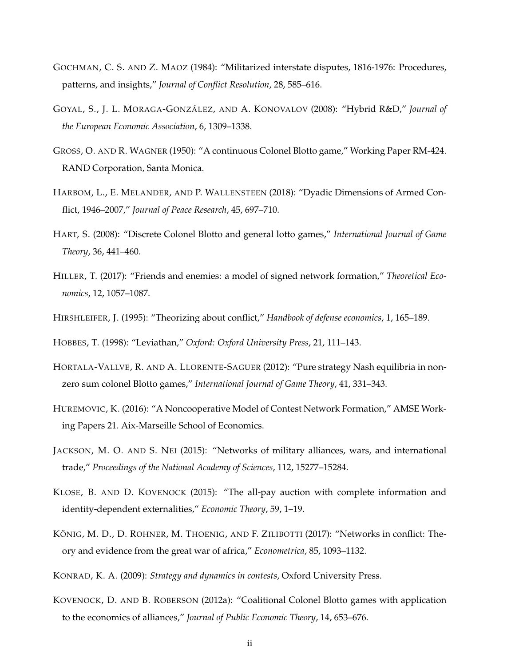- GOCHMAN, C. S. AND Z. MAOZ (1984): "Militarized interstate disputes, 1816-1976: Procedures, patterns, and insights," *Journal of Conflict Resolution*, 28, 585–616.
- GOYAL, S., J. L. MORAGA-GONZÁLEZ, AND A. KONOVALOV (2008): "Hybrid R&D," *Journal of the European Economic Association*, 6, 1309–1338.
- GROSS, O. AND R. WAGNER (1950): "A continuous Colonel Blotto game," Working Paper RM-424. RAND Corporation, Santa Monica.
- HARBOM, L., E. MELANDER, AND P. WALLENSTEEN (2018): "Dyadic Dimensions of Armed Conflict, 1946–2007," *Journal of Peace Research*, 45, 697–710.
- HART, S. (2008): "Discrete Colonel Blotto and general lotto games," *International Journal of Game Theory*, 36, 441–460.
- HILLER, T. (2017): "Friends and enemies: a model of signed network formation," *Theoretical Economics*, 12, 1057–1087.
- HIRSHLEIFER, J. (1995): "Theorizing about conflict," *Handbook of defense economics*, 1, 165–189.

HOBBES, T. (1998): "Leviathan," *Oxford: Oxford University Press*, 21, 111–143.

- HORTALA-VALLVE, R. AND A. LLORENTE-SAGUER (2012): "Pure strategy Nash equilibria in nonzero sum colonel Blotto games," *International Journal of Game Theory*, 41, 331–343.
- HUREMOVIC, K. (2016): "A Noncooperative Model of Contest Network Formation," AMSE Working Papers 21. Aix-Marseille School of Economics.
- JACKSON, M. O. AND S. NEI (2015): "Networks of military alliances, wars, and international trade," *Proceedings of the National Academy of Sciences*, 112, 15277–15284.
- KLOSE, B. AND D. KOVENOCK (2015): "The all-pay auction with complete information and identity-dependent externalities," *Economic Theory*, 59, 1–19.
- KÖNIG, M. D., D. ROHNER, M. THOENIG, AND F. ZILIBOTTI (2017): "Networks in conflict: Theory and evidence from the great war of africa," *Econometrica*, 85, 1093–1132.

KONRAD, K. A. (2009): *Strategy and dynamics in contests*, Oxford University Press.

KOVENOCK, D. AND B. ROBERSON (2012a): "Coalitional Colonel Blotto games with application to the economics of alliances," *Journal of Public Economic Theory*, 14, 653–676.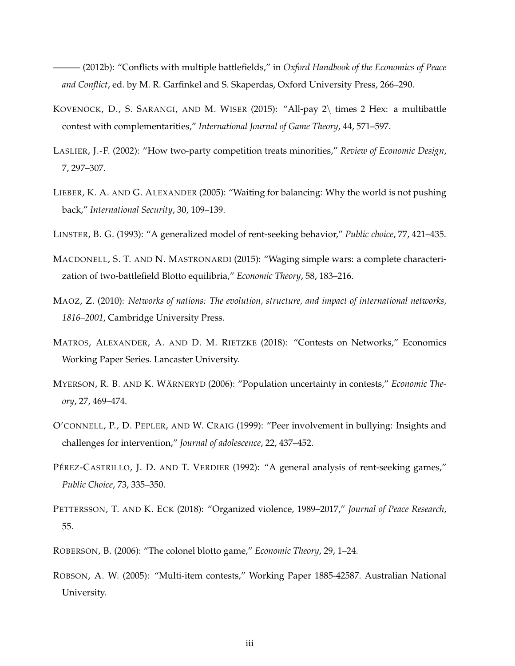——— (2012b): "Conflicts with multiple battlefields," in *Oxford Handbook of the Economics of Peace and Conflict*, ed. by M. R. Garfinkel and S. Skaperdas, Oxford University Press, 266–290.

- KOVENOCK, D., S. SARANGI, AND M. WISER (2015): "All-pay 2\ times 2 Hex: a multibattle contest with complementarities," *International Journal of Game Theory*, 44, 571–597.
- LASLIER, J.-F. (2002): "How two-party competition treats minorities," *Review of Economic Design*, 7, 297–307.
- LIEBER, K. A. AND G. ALEXANDER (2005): "Waiting for balancing: Why the world is not pushing back," *International Security*, 30, 109–139.
- LINSTER, B. G. (1993): "A generalized model of rent-seeking behavior," *Public choice*, 77, 421–435.
- MACDONELL, S. T. AND N. MASTRONARDI (2015): "Waging simple wars: a complete characterization of two-battlefield Blotto equilibria," *Economic Theory*, 58, 183–216.
- MAOZ, Z. (2010): *Networks of nations: The evolution, structure, and impact of international networks, 1816–2001*, Cambridge University Press.
- MATROS, ALEXANDER, A. AND D. M. RIETZKE (2018): "Contests on Networks," Economics Working Paper Series. Lancaster University.
- MYERSON, R. B. AND K. WÄRNERYD (2006): "Population uncertainty in contests," *Economic Theory*, 27, 469–474.
- O'CONNELL, P., D. PEPLER, AND W. CRAIG (1999): "Peer involvement in bullying: Insights and challenges for intervention," *Journal of adolescence*, 22, 437–452.
- PÉREZ-CASTRILLO, J. D. AND T. VERDIER (1992): "A general analysis of rent-seeking games," *Public Choice*, 73, 335–350.
- PETTERSSON, T. AND K. ECK (2018): "Organized violence, 1989–2017," *Journal of Peace Research*, 55.
- ROBERSON, B. (2006): "The colonel blotto game," *Economic Theory*, 29, 1–24.
- ROBSON, A. W. (2005): "Multi-item contests," Working Paper 1885-42587. Australian National University.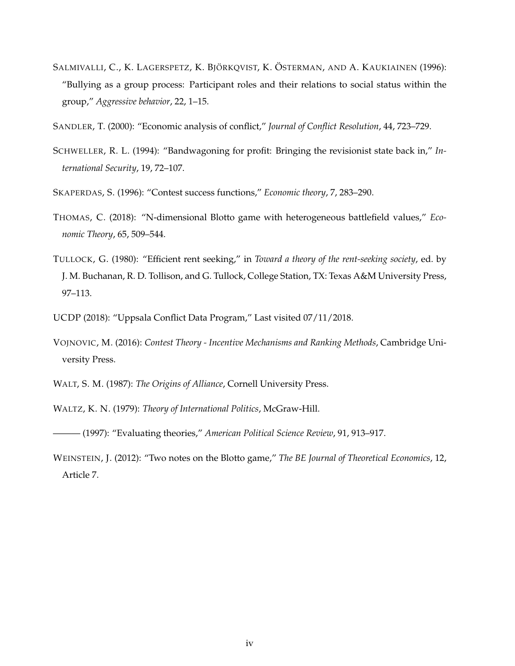- SALMIVALLI, C., K. LAGERSPETZ, K. BJÖRKQVIST, K. ÖSTERMAN, AND A. KAUKIAINEN (1996): "Bullying as a group process: Participant roles and their relations to social status within the group," *Aggressive behavior*, 22, 1–15.
- SANDLER, T. (2000): "Economic analysis of conflict," *Journal of Conflict Resolution*, 44, 723–729.
- SCHWELLER, R. L. (1994): "Bandwagoning for profit: Bringing the revisionist state back in," *International Security*, 19, 72–107.
- SKAPERDAS, S. (1996): "Contest success functions," *Economic theory*, 7, 283–290.
- THOMAS, C. (2018): "N-dimensional Blotto game with heterogeneous battlefield values," *Economic Theory*, 65, 509–544.
- TULLOCK, G. (1980): "Efficient rent seeking," in *Toward a theory of the rent-seeking society*, ed. by J. M. Buchanan, R. D. Tollison, and G. Tullock, College Station, TX: Texas A&M University Press, 97–113.
- UCDP (2018): "Uppsala Conflict Data Program," Last visited 07/11/2018.
- VOJNOVIC, M. (2016): *Contest Theory Incentive Mechanisms and Ranking Methods*, Cambridge University Press.
- WALT, S. M. (1987): *The Origins of Alliance*, Cornell University Press.
- WALTZ, K. N. (1979): *Theory of International Politics*, McGraw-Hill.
- ——— (1997): "Evaluating theories," *American Political Science Review*, 91, 913–917.
- WEINSTEIN, J. (2012): "Two notes on the Blotto game," *The BE Journal of Theoretical Economics*, 12, Article 7.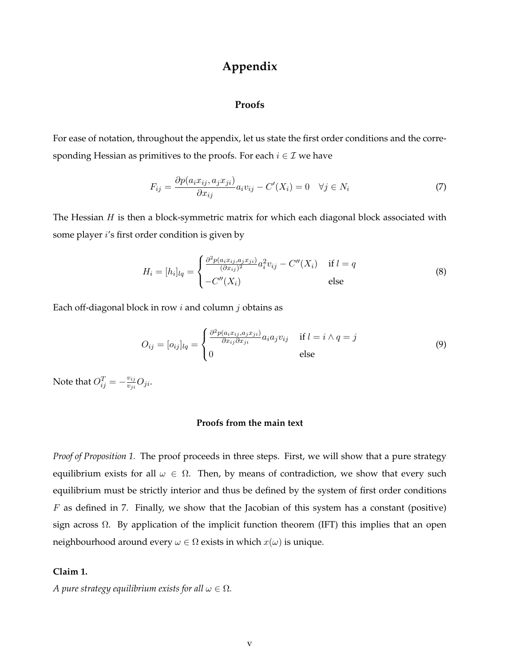# **Appendix**

#### **Proofs**

For ease of notation, throughout the appendix, let us state the first order conditions and the corresponding Hessian as primitives to the proofs. For each  $i \in \mathcal{I}$  we have

$$
F_{ij} = \frac{\partial p(a_i x_{ij}, a_j x_{ji})}{\partial x_{ij}} a_i v_{ij} - C'(X_i) = 0 \quad \forall j \in N_i
$$
\n<sup>(7)</sup>

The Hessian  $H$  is then a block-symmetric matrix for which each diagonal block associated with some player i's first order condition is given by

$$
H_i = [h_i]_{lq} = \begin{cases} \frac{\partial^2 p(a_i x_{ij}, a_j x_{ji})}{(\partial x_{ij})^2} a_i^2 v_{ij} - C''(X_i) & \text{if } l = q\\ -C''(X_i) & \text{else} \end{cases}
$$
(8)

Each off-diagonal block in row  $i$  and column  $j$  obtains as

$$
O_{ij} = [o_{ij}]_{lq} = \begin{cases} \frac{\partial^2 p(a_i x_{ij}, a_j x_{ji})}{\partial x_{ij} \partial x_{ji}} a_i a_j v_{ij} & \text{if } l = i \land q = j\\ 0 & \text{else} \end{cases}
$$
(9)

Note that  $O_{ij}^T = -\frac{v_{ij}}{v_{ji}}$  $\frac{v_{ij}}{v_{ji}}O_{ji}.$ 

# **Proofs from the main text**

*Proof of Proposition 1.* The proof proceeds in three steps. First, we will show that a pure strategy equilibrium exists for all  $\omega \in \Omega$ . Then, by means of contradiction, we show that every such equilibrium must be strictly interior and thus be defined by the system of first order conditions  $F$  as defined in 7. Finally, we show that the Jacobian of this system has a constant (positive) sign across  $\Omega$ . By application of the implicit function theorem (IFT) this implies that an open neighbourhood around every  $\omega \in \Omega$  exists in which  $x(\omega)$  is unique.

# **Claim 1.**

*A pure strategy equilibrium exists for all*  $\omega \in \Omega$ *.*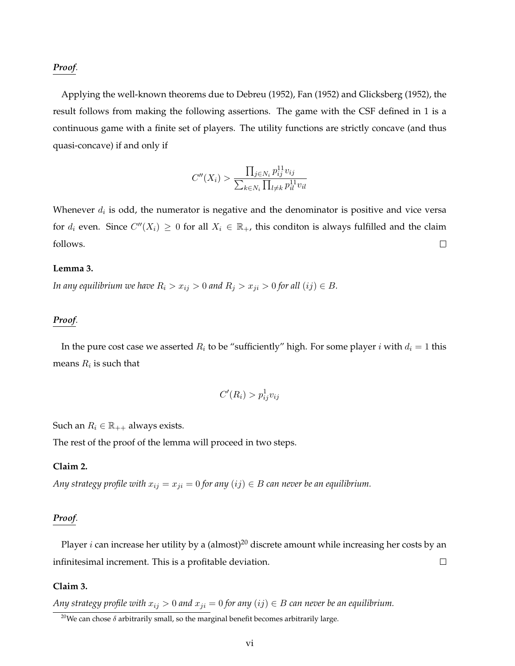#### *Proof.*

Applying the well-known theorems due to Debreu (1952), Fan (1952) and Glicksberg (1952), the result follows from making the following assertions. The game with the CSF defined in 1 is a continuous game with a finite set of players. The utility functions are strictly concave (and thus quasi-concave) if and only if

$$
C''(X_i) > \frac{\prod_{j \in N_i} p_{ij}^{11} v_{ij}}{\sum_{k \in N_i} \prod_{l \neq k} p_{il}^{11} v_{il}}
$$

Whenever  $d_i$  is odd, the numerator is negative and the denominator is positive and vice versa for  $d_i$  even. Since  $C''(X_i) \geq 0$  for all  $X_i \in \mathbb{R}_+$ , this conditon is always fulfilled and the claim follows.  $\Box$ 

#### **Lemma 3.**

*In any equilibrium we have*  $R_i > x_{ij} > 0$  *and*  $R_j > x_{ji} > 0$  *for all*  $(ij) \in B$ *.* 

### *Proof.*

In the pure cost case we asserted  $R_i$  to be "sufficiently" high. For some player i with  $d_i = 1$  this means  $R_i$  is such that

$$
C'(R_i) > p_{ij}^1 v_{ij}
$$

Such an  $R_i \in \mathbb{R}_{++}$  always exists.

The rest of the proof of the lemma will proceed in two steps.

# **Claim 2.**

*Any strategy profile with*  $x_{ij} = x_{ji} = 0$  *for any*  $(ij) \in B$  *can never be an equilibrium.* 

#### *Proof.*

Player  $i$  can increase her utility by a (almost)<sup>20</sup> discrete amount while increasing her costs by an infinitesimal increment. This is a profitable deviation.  $\Box$ 

# **Claim 3.**

*Any strategy profile with*  $x_{ij} > 0$  *and*  $x_{ji} = 0$  *for any*  $(ij) \in B$  *can never be an equilibrium.* 

<sup>&</sup>lt;sup>20</sup>We can chose  $\delta$  arbitrarily small, so the marginal benefit becomes arbitrarily large.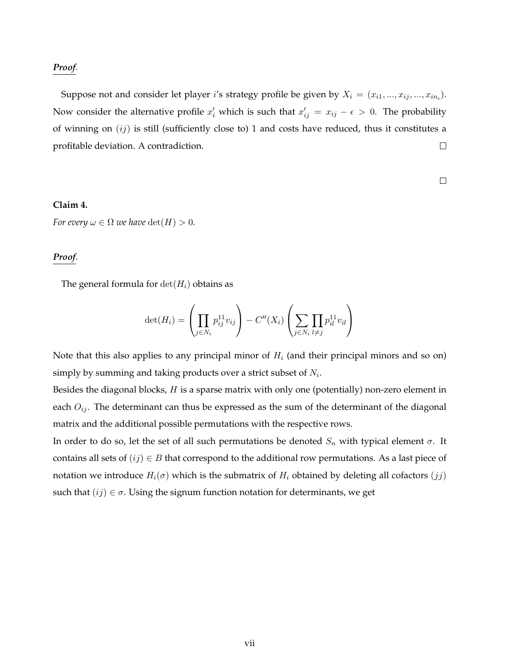#### *Proof.*

Suppose not and consider let player  $i'$ s strategy profile be given by  $X_i = (x_{i1},...,x_{ij},...,x_{in_i}).$ Now consider the alternative profile  $x'_i$  which is such that  $x'_{ij} = x_{ij} - \epsilon > 0$ . The probability of winning on  $(ij)$  is still (sufficiently close to) 1 and costs have reduced, thus it constitutes a  $\Box$ profitable deviation. A contradiction.

 $\Box$ 

# **Claim 4.**

*For every*  $\omega \in \Omega$  *we have*  $\det(H) > 0$ *.* 

#### *Proof.*

The general formula for  $\det(H_i)$  obtains as

$$
\det(H_i) = \left(\prod_{j \in N_i} p_{ij}^{11} v_{ij}\right) - C''(X_i) \left(\sum_{j \in N_i} \prod_{l \neq j} p_{il}^{11} v_{il}\right)
$$

Note that this also applies to any principal minor of  $H_i$  (and their principal minors and so on) simply by summing and taking products over a strict subset of  $N_i$ .

Besides the diagonal blocks,  $H$  is a sparse matrix with only one (potentially) non-zero element in each  $O_{ij}$ . The determinant can thus be expressed as the sum of the determinant of the diagonal matrix and the additional possible permutations with the respective rows.

In order to do so, let the set of all such permutations be denoted  $S_n$  with typical element  $\sigma$ . It contains all sets of  $(ij) \in B$  that correspond to the additional row permutations. As a last piece of notation we introduce  $H_i(\sigma)$  which is the submatrix of  $H_i$  obtained by deleting all cofactors  $(jj)$ such that  $(ij) \in \sigma$ . Using the signum function notation for determinants, we get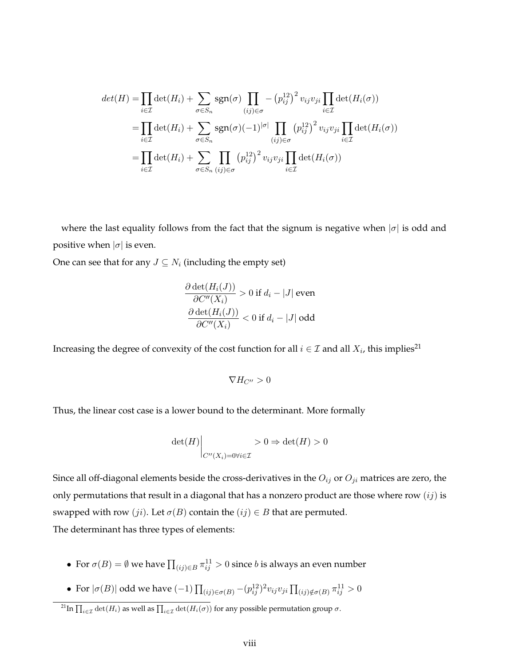$$
det(H) = \prod_{i \in \mathcal{I}} det(H_i) + \sum_{\sigma \in S_n} sgn(\sigma) \prod_{(ij) \in \sigma} -(p_{ij}^{12})^2 v_{ij} v_{ji} \prod_{i \in \mathcal{I}} det(H_i(\sigma))
$$
  

$$
= \prod_{i \in \mathcal{I}} det(H_i) + \sum_{\sigma \in S_n} sgn(\sigma) (-1)^{|\sigma|} \prod_{(ij) \in \sigma} (p_{ij}^{12})^2 v_{ij} v_{ji} \prod_{i \in \mathcal{I}} det(H_i(\sigma))
$$
  

$$
= \prod_{i \in \mathcal{I}} det(H_i) + \sum_{\sigma \in S_n} \prod_{(ij) \in \sigma} (p_{ij}^{12})^2 v_{ij} v_{ji} \prod_{i \in \mathcal{I}} det(H_i(\sigma))
$$

where the last equality follows from the fact that the signum is negative when  $|\sigma|$  is odd and positive when  $|\sigma|$  is even.

One can see that for any  $J \subseteq N_i$  (including the empty set)

$$
\frac{\partial \det(H_i(J))}{\partial C''(X_i)} > 0 \text{ if } d_i - |J| \text{ even}
$$
  

$$
\frac{\partial \det(H_i(J))}{\partial C''(X_i)} < 0 \text{ if } d_i - |J| \text{ odd}
$$

Increasing the degree of convexity of the cost function for all  $i \in \mathcal{I}$  and all  $X_i$ , this implies<sup>21</sup>

$$
\nabla H_{C''}>0
$$

Thus, the linear cost case is a lower bound to the determinant. More formally

$$
\det(H) \Big|_{C''(X_i) = 0 \forall i \in \mathcal{I}} > 0 \Rightarrow \det(H) > 0
$$

Since all off-diagonal elements beside the cross-derivatives in the  $O_{ij}$  or  $O_{ji}$  matrices are zero, the only permutations that result in a diagonal that has a nonzero product are those where row  $(ij)$  is swapped with row  $(ji)$ . Let  $\sigma(B)$  contain the  $(ij) \in B$  that are permuted. The determinant has three types of elements:

- For  $\sigma(B) = \emptyset$  we have  $\prod_{(ij) \in B} \pi_{ij}^{11} > 0$  since  $b$  is always an even number
- For  $|\sigma(B)|$  odd we have  $(-1)$   $\prod_{(ij)\in\sigma(B)}-(p^{12}_{ij})^2v_{ij}v_{ji}\prod_{(ij)\notin\sigma(B)}\pi^{11}_{ij}>0$

<sup>&</sup>lt;sup>21</sup>In  $\prod_{i\in\mathcal{I}}\det(H_i)$  as well as  $\prod_{i\in\mathcal{I}}\det(H_i(\sigma))$  for any possible permutation group  $\sigma.$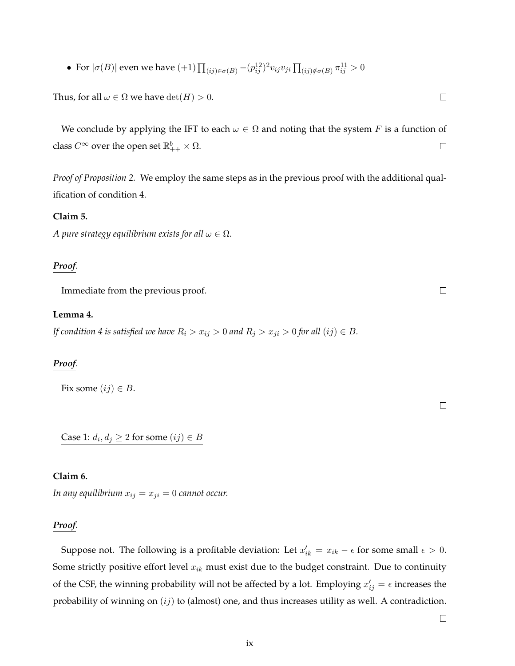• For  $|\sigma(B)|$  even we have  $(+1)\prod_{(ij)\in\sigma(B)}-(p^{12}_{ij})^2v_{ij}v_{ji}\prod_{(ij)\notin\sigma(B)}\pi^{11}_{ij}>0$ 

Thus, for all  $\omega \in \Omega$  we have  $\det(H) > 0$ .

We conclude by applying the IFT to each  $\omega \in \Omega$  and noting that the system F is a function of class  $C^\infty$  over the open set  $\mathbb{R}^b_{++} \times \Omega$ .  $\Box$ 

*Proof of Proposition 2.* We employ the same steps as in the previous proof with the additional qualification of condition 4.

#### **Claim 5.**

*A pure strategy equilibrium exists for all*  $\omega \in \Omega$ *.* 

#### *Proof.*

Immediate from the previous proof.

#### **Lemma 4.**

*If condition 4 is satisfied we have*  $R_i > x_{ij} > 0$  *and*  $R_j > x_{ji} > 0$  *for all*  $(ij) \in B$ *.* 

#### *Proof.*

Fix some  $(ij) \in B$ .

Case 1:  $d_i, d_j \geq 2$  for some  $(ij) \in B$ 

#### **Claim 6.**

*In any equilibrium*  $x_{ij} = x_{ji} = 0$  *cannot occur.* 

#### *Proof.*

Suppose not. The following is a profitable deviation: Let  $x'_{ik} = x_{ik} - \epsilon$  for some small  $\epsilon > 0$ . Some strictly positive effort level  $x_{ik}$  must exist due to the budget constraint. Due to continuity of the CSF, the winning probability will not be affected by a lot. Employing  $x'_{ij} = \epsilon$  increases the probability of winning on  $(ij)$  to (almost) one, and thus increases utility as well. A contradiction.

 $\Box$ 

 $\Box$ 

 $\Box$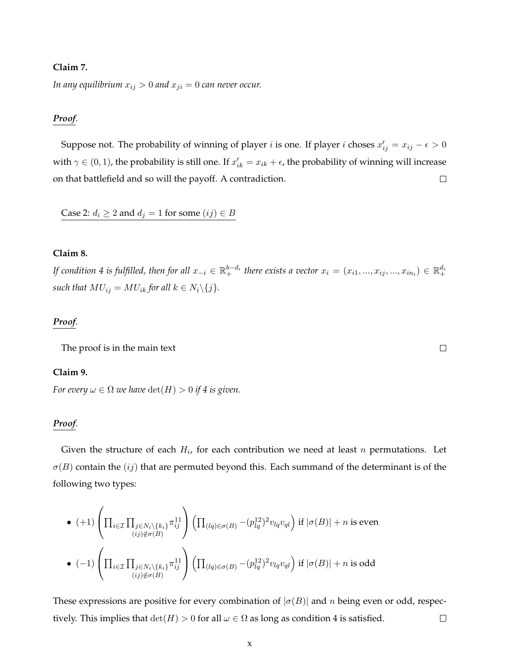#### **Claim 7.**

*In any equilibrium*  $x_{ij} > 0$  *and*  $x_{ji} = 0$  *can never occur.* 

#### *Proof.*

Suppose not. The probability of winning of player  $i$  is one. If player  $i$  choses  $x'_{ij} = x_{ij} - \epsilon > 0$ with  $\gamma \in (0,1)$ , the probability is still one. If  $x'_{ik} = x_{ik} + \epsilon$ , the probability of winning will increase on that battlefield and so will the payoff. A contradiction.  $\Box$ 

Case 2:  $d_i \geq 2$  and  $d_j = 1$  for some  $(ij) \in B$ 

# **Claim 8.**

If condition 4 is fulfilled, then for all  $x_{-i}\in\mathbb{R}^{b-d_i}_+$  there exists a vector  $x_i=(x_{i1},...,x_{ij},...,x_{in_i})\in\mathbb{R}^{d_i}_+$ *such that*  $MU_{ij} = MU_{ik}$  *for all*  $k \in N_i \backslash \{j\}$ *.* 

#### *Proof.*

The proof is in the main text

#### **Claim 9.**

*For every*  $\omega \in \Omega$  *we have*  $\det(H) > 0$  *if 4 is given.* 

#### *Proof.*

Given the structure of each  $H_i$ , for each contribution we need at least  $n$  permutations. Let  $\sigma(B)$  contain the  $(ij)$  that are permuted beyond this. Each summand of the determinant is of the following two types:

\n- \n
$$
(+1)\left(\prod_{i\in\mathcal{I}}\prod_{\substack{j\in\mathcal{N}_i\backslash\{k_i\}}}\pi_{ij}^{11}\right)\left(\prod_{(lq)\in\sigma(B)}-(p_{lq}^{12})^2v_{lq}v_{ql}\right)
$$
 if  $|\sigma(B)|+n$  is even\n
\n- \n
$$
(-1)\left(\prod_{i\in\mathcal{I}}\prod_{\substack{j\in\mathcal{N}_i\backslash\{k_i\}}}\pi_{ij}^{11}\right)\left(\prod_{(lq)\in\sigma(B)}-(p_{lq}^{12})^2v_{lq}v_{ql}\right)
$$
 if  $|\sigma(B)|+n$  is odd\n
\n

These expressions are positive for every combination of  $|\sigma(B)|$  and n being even or odd, respectively. This implies that  $\det(H) > 0$  for all  $\omega \in \Omega$  as long as condition 4 is satisfied.  $\Box$ 

 $\Box$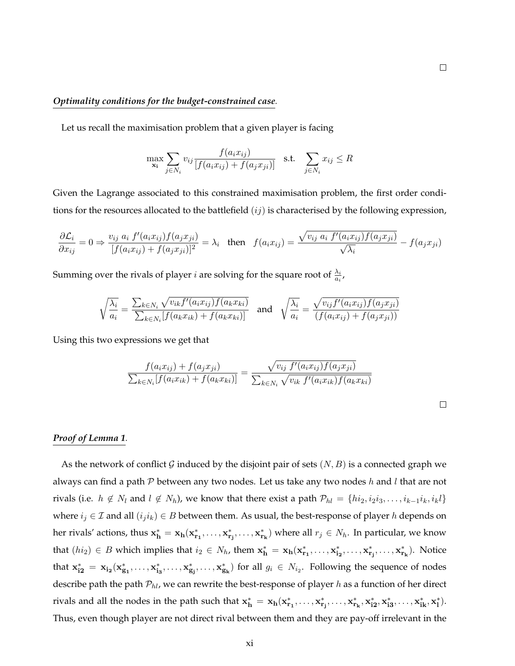#### *Optimality conditions for the budget-constrained case.*

Let us recall the maximisation problem that a given player is facing

$$
\max_{\mathbf{x_i}} \sum_{j \in N_i} v_{ij} \frac{f(a_i x_{ij})}{[f(a_i x_{ij}) + f(a_j x_{ji})]} \quad \text{s.t.} \quad \sum_{j \in N_i} x_{ij} \le R
$$

Given the Lagrange associated to this constrained maximisation problem, the first order conditions for the resources allocated to the battlefield  $(ij)$  is characterised by the following expression,

$$
\frac{\partial \mathcal{L}_i}{\partial x_{ij}} = 0 \Rightarrow \frac{v_{ij} a_i f'(a_i x_{ij}) f(a_j x_{ji})}{[f(a_i x_{ij}) + f(a_j x_{ji})]^2} = \lambda_i \quad \text{then} \quad f(a_i x_{ij}) = \frac{\sqrt{v_{ij} a_i f'(a_i x_{ij}) f(a_j x_{ji})}}{\sqrt{\lambda_i}} - f(a_j x_{ji})
$$

Summing over the rivals of player *i* are solving for the square root of  $\frac{\lambda_i}{a_i}$ ,

$$
\sqrt{\frac{\lambda_i}{a_i}} = \frac{\sum_{k \in N_i} \sqrt{v_{ik} f'(a_i x_{ij}) f(a_k x_{ki})}}{\sum_{k \in N_i} [f(a_k x_{ik}) + f(a_k x_{ki})]}
$$
 and 
$$
\sqrt{\frac{\lambda_i}{a_i}} = \frac{\sqrt{v_{ij} f'(a_i x_{ij}) f(a_j x_{ji})}}{(f(a_i x_{ij}) + f(a_j x_{ji}))}
$$

Using this two expressions we get that

$$
\frac{f(a_i x_{ij}) + f(a_j x_{ji})}{\sum_{k \in N_i} [f(a_i x_{ik}) + f(a_k x_{ki})]} = \frac{\sqrt{v_{ij} f'(a_i x_{ij}) f(a_j x_{ji})}}{\sum_{k \in N_i} \sqrt{v_{ik} f'(a_i x_{ik}) f(a_k x_{ki})}}
$$

#### *Proof of Lemma 1.*

As the network of conflict G induced by the disjoint pair of sets  $(N, B)$  is a connected graph we always can find a path  $P$  between any two nodes. Let us take any two nodes  $h$  and  $l$  that are not rivals (i.e.  $h \notin N_l$  and  $l \notin N_h$ ), we know that there exist a path  $\mathcal{P}_{hl} = \{hi_2, i_2i_3, \ldots, i_{k-1}i_k, i_kl\}$ where  $i_j \in \mathcal{I}$  and all  $(i_j i_k) \in B$  between them. As usual, the best-response of player h depends on her rivals' actions, thus  $x_h^* = x_h(x_{r_1}^*, \ldots, x_{r_i}^*, \ldots, x_{r_k}^*)$  where all  $r_j \in N_h$ . In particular, we know that  $(hi_2) \in B$  which implies that  $i_2 \in N_h$ , them  $\mathbf{x_h^*} = \mathbf{x_h}(\mathbf{x_{r_1}^*, \ldots, x_{i_2}^*, \ldots, x_{r_i}^*, \ldots, x_{r_k}^*)$ . Notice that  $x_{i2}^* = x_{i_2}(x_{g_1}^*, \ldots, x_{i_3}^*, \ldots, x_{g_i}^*)$  for all  $g_i \in N_{i_2}$ . Following the sequence of nodes describe path the path  $\mathcal{P}_{hl}$ , we can rewrite the best-response of player h as a function of her direct rivals and all the nodes in the path such that  $x_h^* = x_h(x_{r_1}^*, \ldots, x_{r_i}^*, \ldots, x_{r_k}^*, x_{i2}^*, x_{i3}^*, \ldots, x_{ik}^*, x_l^*).$ Thus, even though player are not direct rival between them and they are pay-off irrelevant in the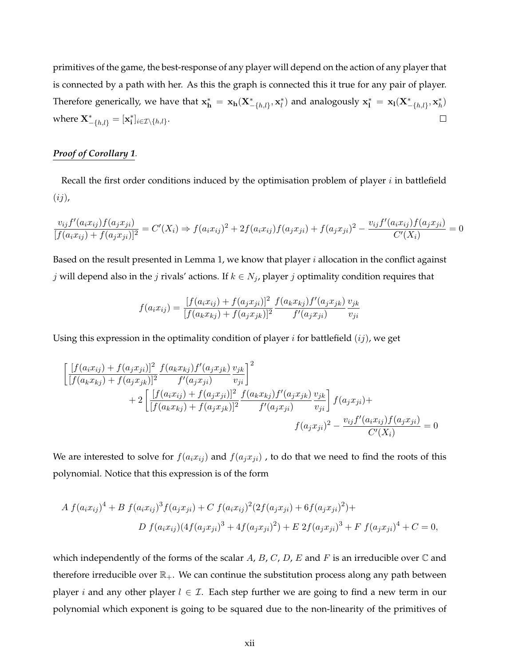primitives of the game, the best-response of any player will depend on the action of any player that is connected by a path with her. As this the graph is connected this it true for any pair of player. Therefore generically, we have that  $\mathbf{x_h^*} = \mathbf{x_h}(\mathbf{X^*_{-\{h,l\}}}, \mathbf{x_l^*})$  and analogously  $\mathbf{x_l^*} = \mathbf{x_l}(\mathbf{X^*_{-\{h,l\}}}, \mathbf{x_h^*})$ where  $\mathbf{X}_{-\{h,l\}}^* = [\mathbf{x}_\mathbf{i}^*]_{i \in \mathcal{I} \setminus \{h,l\}}$ .  $\Box$ 

# *Proof of Corollary 1.*

Recall the first order conditions induced by the optimisation problem of player  $i$  in battlefield  $(ij)$ ,

$$
\frac{v_{ij}f'(a_ix_{ij})f(a_jx_{ji})}{[f(a_ix_{ij})+f(a_jx_{ji})]^2} = C'(X_i) \Rightarrow f(a_ix_{ij})^2 + 2f(a_ix_{ij})f(a_jx_{ji}) + f(a_jx_{ji})^2 - \frac{v_{ij}f'(a_ix_{ij})f(a_jx_{ji})}{C'(X_i)} = 0
$$

Based on the result presented in Lemma 1, we know that player  $i$  allocation in the conflict against j will depend also in the j rivals' actions. If  $k \in N_j$ , player j optimality condition requires that

$$
f(a_i x_{ij}) = \frac{[f(a_i x_{ij}) + f(a_j x_{ji})]^2}{[f(a_k x_{kj}) + f(a_j x_{jk})]^2} \frac{f(a_k x_{kj}) f'(a_j x_{jk})}{f'(a_j x_{ji})} \frac{v_{jk}}{v_{ji}}
$$

Using this expression in the optimality condition of player  $i$  for battlefield  $(ij)$ , we get

$$
\begin{aligned}\n&\left[\frac{[f(a_ix_{ij}) + f(a_jx_{ji})]^2}{[f(a_kx_{kj}) + f(a_jx_{jk})]^2}\frac{f(a_kx_{kj})f'(a_jx_{jk})}{f'(a_jx_{ji})} \frac{v_{jk}}{v_{ji}}\right]^2 \\
&+ 2\left[\frac{[f(a_ix_{ij}) + f(a_jx_{ji})]^2}{[f(a_kx_{kj}) + f(a_jx_{jk})]^2}\frac{f(a_kx_{kj})f'(a_jx_{jk})}{f'(a_jx_{ji})} \frac{v_{jk}}{v_{ji}}\right]f(a_jx_{ji}) + \\
&\left[(a_jx_{ji})^2 - \frac{v_{ij}f'(a_ix_{ij})f(a_jx_{ji})}{C'(X_i)}\right] = 0\n\end{aligned}
$$

We are interested to solve for  $f(a_i x_{ij})$  and  $f(a_j x_{ji})$ , to do that we need to find the roots of this polynomial. Notice that this expression is of the form

$$
A f(a_i x_{ij})^4 + B f(a_i x_{ij})^3 f(a_j x_{ji}) + C f(a_i x_{ij})^2 (2f(a_j x_{ji}) + 6f(a_j x_{ji})^2) +
$$
  

$$
D f(a_i x_{ij}) (4f(a_j x_{ji})^3 + 4f(a_j x_{ji})^2) + E 2f(a_j x_{ji})^3 + F f(a_j x_{ji})^4 + C = 0,
$$

which independently of the forms of the scalar A, B, C, D, E and F is an irreducible over  $\mathbb C$  and therefore irreducible over  $\mathbb{R}_+$ . We can continue the substitution process along any path between player *i* and any other player  $l \in \mathcal{I}$ . Each step further we are going to find a new term in our polynomial which exponent is going to be squared due to the non-linearity of the primitives of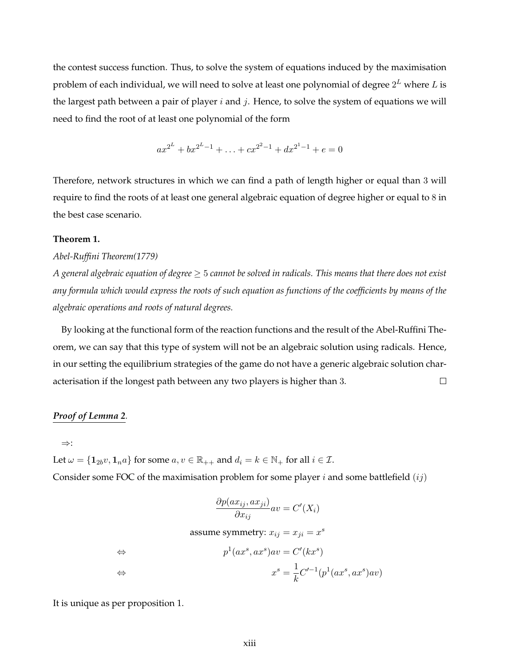the contest success function. Thus, to solve the system of equations induced by the maximisation problem of each individual, we will need to solve at least one polynomial of degree  $2^L$  where  $L$  is the largest path between a pair of player  $i$  and  $j$ . Hence, to solve the system of equations we will need to find the root of at least one polynomial of the form

 $ax^{2^L} + bx^{2^L-1} + \ldots + cx^{2^2-1} + dx^{2^1-1} + e = 0$ 

Therefore, network structures in which we can find a path of length higher or equal than 3 will require to find the roots of at least one general algebraic equation of degree higher or equal to 8 in the best case scenario.

#### **Theorem 1.**

#### *Abel-Ruffini Theorem(1779)*

*A general algebraic equation of degree* ≥ 5 *cannot be solved in radicals. This means that there does not exist any formula which would express the roots of such equation as functions of the coefficients by means of the algebraic operations and roots of natural degrees.*

By looking at the functional form of the reaction functions and the result of the Abel-Ruffini Theorem, we can say that this type of system will not be an algebraic solution using radicals. Hence, in our setting the equilibrium strategies of the game do not have a generic algebraic solution char- $\Box$ acterisation if the longest path between any two players is higher than 3.

#### *Proof of Lemma 2.*

⇒:

Let  $\omega = \{1_{2b}v, 1_{n}a\}$  for some  $a, v \in \mathbb{R}_{++}$  and  $d_i = k \in \mathbb{N}_+$  for all  $i \in \mathcal{I}$ . Consider some FOC of the maximisation problem for some player i and some battlefield  $(ij)$ 

$$
\frac{\partial p(ax_{ij}, ax_{ji})}{\partial x_{ij}}av = C'(X_i)
$$

assume symmetry:  $x_{ij} = x_{ji} = x^s$ 

$$
\Leftrightarrow \qquad p^1(ax^s, ax^s)av = C'(kx^s)
$$

$$
\Leftrightarrow \qquad x^s = \frac{1}{k}C'^{-1}(p^1(ax^s, ax^s)av)
$$

It is unique as per proposition 1.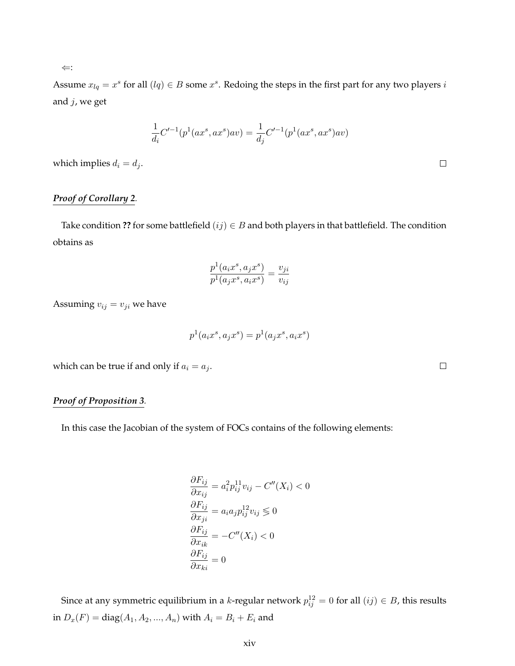Assume  $x_{lq} = x^s$  for all  $(lq) \in B$  some  $x^s$ . Redoing the steps in the first part for any two players  $i$ and j, we get

$$
\frac{1}{d_i}C'^{-1}(p^1(ax^s,ax^s)av)=\frac{1}{d_j}C'^{-1}(p^1(ax^s,ax^s)av)
$$

which implies  $d_i = d_j$ .

# *Proof of Corollary 2.*

Take condition ?? for some battlefield  $(ij) \in B$  and both players in that battlefield. The condition obtains as

$$
\frac{p^1(a_ix^s, a_jx^s)}{p^1(a_jx^s, a_ix^s)} = \frac{v_{ji}}{v_{ij}}
$$

Assuming  $v_{ij} = v_{ji}$  we have

$$
p^1(a_ix^s, a_jx^s) = p^1(a_jx^s, a_ix^s)
$$

which can be true if and only if  $a_i = a_j$ .

# *Proof of Proposition 3.*

In this case the Jacobian of the system of FOCs contains of the following elements:

$$
\frac{\partial F_{ij}}{\partial x_{ij}} = a_i^2 p_{ij}^{11} v_{ij} - C''(X_i) < 0
$$
\n
$$
\frac{\partial F_{ij}}{\partial x_{ji}} = a_i a_j p_{ij}^{12} v_{ij} \leq 0
$$
\n
$$
\frac{\partial F_{ij}}{\partial x_{ik}} = -C''(X_i) < 0
$$
\n
$$
\frac{\partial F_{ij}}{\partial x_{ki}} = 0
$$

Since at any symmetric equilibrium in a *k*-regular network  $p_{ij}^{12} = 0$  for all  $(ij) \in B$ , this results in  $D_x(F) = diag(A_1, A_2, ..., A_n)$  with  $A_i = B_i + E_i$  and

⇐:

 $\Box$ 

 $\Box$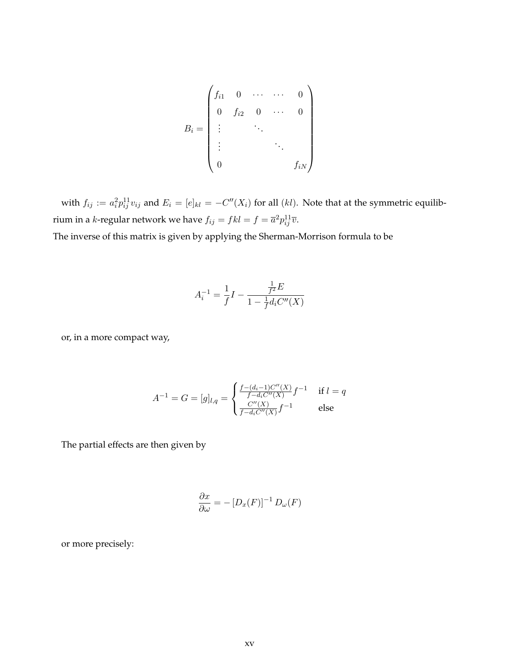$$
B_i = \begin{pmatrix} f_{i1} & 0 & \cdots & \cdots & 0 \\ 0 & f_{i2} & 0 & \cdots & 0 \\ \vdots & & \ddots & & \\ \vdots & & & \ddots & \\ 0 & & & & f_{iN} \end{pmatrix}
$$

with  $f_{ij} := a_i^2 p_{ij}^{11} v_{ij}$  and  $E_i = [e]_{kl} = -C''(X_i)$  for all  $(kl)$ . Note that at the symmetric equilibrium in a *k*-regular network we have  $f_{ij} = fkl = f = \overline{a}^2 p_{ij}^{11} \overline{v}.$ 

The inverse of this matrix is given by applying the Sherman-Morrison formula to be

$$
A_i^{-1} = \frac{1}{f}I - \frac{\frac{1}{f^2}E}{1 - \frac{1}{f}d_iC''(X)}
$$

or, in a more compact way,

$$
A^{-1} = G = [g]_{l,q} = \begin{cases} \frac{f - (d_i - 1)C''(X)}{f - d_i C''(X)} f^{-1} & \text{if } l = q\\ \frac{C''(X)}{f - d_i C''(X)} f^{-1} & \text{else} \end{cases}
$$

The partial effects are then given by

$$
\frac{\partial x}{\partial \omega} = -[D_x(F)]^{-1} D_{\omega}(F)
$$

or more precisely: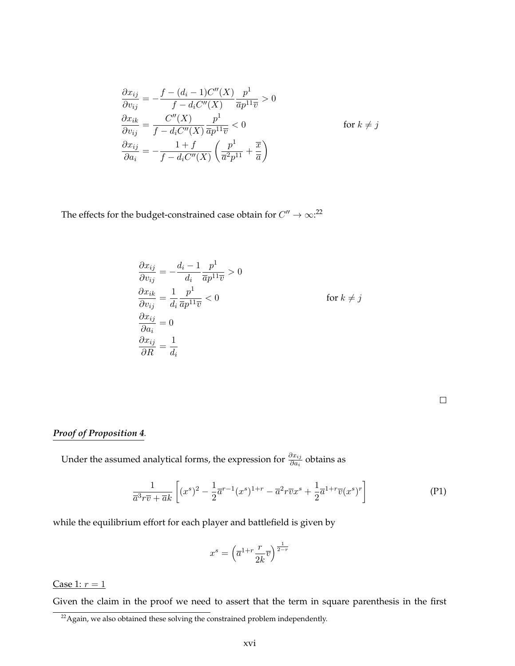$$
\frac{\partial x_{ij}}{\partial v_{ij}} = -\frac{f - (d_i - 1)C''(X)}{f - d_i C''(X)} \frac{p^1}{\overline{a}p^{11}\overline{v}} > 0
$$
  

$$
\frac{\partial x_{ik}}{\partial v_{ij}} = \frac{C''(X)}{f - d_i C''(X)} \frac{p^1}{\overline{a}p^{11}\overline{v}} < 0 \qquad \text{for } k \neq j
$$
  

$$
\frac{\partial x_{ij}}{\partial a_i} = -\frac{1 + f}{f - d_i C''(X)} \left(\frac{p^1}{\overline{a}^2 p^{11}} + \frac{\overline{x}}{\overline{a}}\right)
$$

The effects for the budget-constrained case obtain for  $C'' \to \infty$ :<sup>22</sup>

$$
\frac{\partial x_{ij}}{\partial v_{ij}} = -\frac{d_i - 1}{d_i} \frac{p^1}{\overline{a}p^{11}\overline{v}} > 0
$$
  

$$
\frac{\partial x_{ik}}{\partial v_{ij}} = \frac{1}{d_i} \frac{p^1}{\overline{a}p^{11}\overline{v}} < 0
$$
 for  $k \neq j$   

$$
\frac{\partial x_{ij}}{\partial a_i} = 0
$$
  

$$
\frac{\partial x_{ij}}{\partial R} = \frac{1}{d_i}
$$

# *Proof of Proposition 4.*

Under the assumed analytical forms, the expression for  $\frac{\partial x_{ij}}{\partial a_i}$  obtains as

$$
\frac{1}{\overline{a}^3r\overline{v} + \overline{a}k} \left[ (x^s)^2 - \frac{1}{2}\overline{a}^{r-1}(x^s)^{1+r} - \overline{a}^2r\overline{v}x^s + \frac{1}{2}\overline{a}^{1+r}\overline{v}(x^s)^r \right] \tag{P1}
$$

while the equilibrium effort for each player and battlefield is given by

$$
x^s = \left(\overline{a}^{1+r} \frac{r}{2k} \overline{v}\right)^{\frac{1}{2-r}}
$$

Case 1:  $r = 1$ 

Given the claim in the proof we need to assert that the term in square parenthesis in the first

 $22$ Again, we also obtained these solving the constrained problem independently.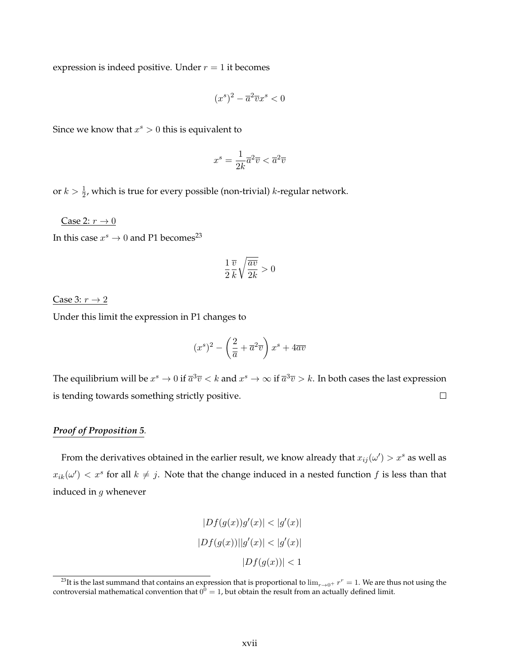expression is indeed positive. Under  $r = 1$  it becomes

$$
(x^s)^2 - \overline{a}^2 \overline{v} x^s < 0
$$

Since we know that  $x^s > 0$  this is equivalent to

$$
x^s = \frac{1}{2k}\overline{a}^2\overline{v} < \overline{a}^2\overline{v}
$$

or  $k > \frac{1}{2}$ , which is true for every possible (non-trivial) k-regular network.

Case 2:  $r \rightarrow 0$ 

In this case  $x^s \to 0$  and P1 becomes<sup>23</sup>

$$
\frac{1}{2}\frac{\overline{v}}{k}\sqrt{\frac{\overline{av}}{2k}} > 0
$$

Case 3:  $r \rightarrow 2$ 

Under this limit the expression in P1 changes to

$$
(x^s)^2 - \left(\frac{2}{\overline{a}} + \overline{a}^2 \overline{v}\right)x^s + 4\overline{a}\overline{v}
$$

The equilibrium will be  $x^s \to 0$  if  $\overline{a}^3\overline{v} < k$  and  $x^s \to \infty$  if  $\overline{a}^3\overline{v} > k$ . In both cases the last expression is tending towards something strictly positive.  $\Box$ 

#### *Proof of Proposition 5.*

From the derivatives obtained in the earlier result, we know already that  $x_{ij}(\omega') > x^s$  as well as  $x_{ik}(\omega') < x^s$  for all  $k \neq j$ . Note that the change induced in a nested function f is less than that induced in g whenever

$$
|Df(g(x))g'(x)| < |g'(x)|
$$
  

$$
|Df(g(x))||g'(x)| < |g'(x)|
$$
  

$$
|Df(g(x))| < 1
$$

 $^{23}$ It is the last summand that contains an expression that is proportional to  $\lim_{r\to 0^+}r^r=1$ . We are thus not using the controversial mathematical convention that  $0^{\hat{0}} = 1$ , but obtain the result from an actually defined limit.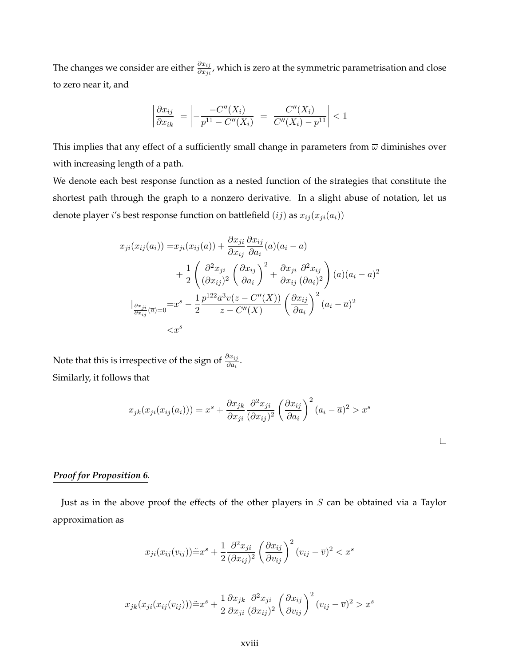The changes we consider are either  $\frac{\partial x_{ij}}{\partial x_{ji}}$ , which is zero at the symmetric parametrisation and close to zero near it, and

$$
\left|\frac{\partial x_{ij}}{\partial x_{ik}}\right| = \left|-\frac{C''(X_i)}{p^{11}-C''(X_i)}\right| = \left|\frac{C''(X_i)}{C''(X_i)-p^{11}}\right| < 1
$$

This implies that any effect of a sufficiently small change in parameters from  $\overline{\omega}$  diminishes over with increasing length of a path.

We denote each best response function as a nested function of the strategies that constitute the shortest path through the graph to a nonzero derivative. In a slight abuse of notation, let us denote player *i*'s best response function on battlefield  $(ij)$  as  $x_{ij}(x_{ji}(a_i))$ 

$$
x_{ji}(x_{ij}(a_i)) = x_{ji}(x_{ij}(\overline{a})) + \frac{\partial x_{ji}}{\partial x_{ij}} \frac{\partial x_{ij}}{\partial a_i}(\overline{a})(a_i - \overline{a})
$$
  
+ 
$$
\frac{1}{2} \left( \frac{\partial^2 x_{ji}}{(\partial x_{ij})^2} \left( \frac{\partial x_{ij}}{\partial a_i} \right)^2 + \frac{\partial x_{ji}}{\partial x_{ij}} \frac{\partial^2 x_{ij}}{(\partial a_i)^2} \right) (\overline{a})(a_i - \overline{a})^2
$$
  

$$
\Big|_{\frac{\partial x_{ji}}{\partial x_{ij}}(\overline{a})=0} = x^s - \frac{1}{2} \frac{p^{122} \overline{a}^3 v(z - C''(X))}{z - C''(X)} \left( \frac{\partial x_{ij}}{\partial a_i} \right)^2 (a_i - \overline{a})^2
$$
  

$$
< x^s
$$

Note that this is irrespective of the sign of  $\frac{\partial x_{ij}}{\partial a_i}$ . Similarly, it follows that

$$
x_{jk}(x_{ji}(x_{ij}(a_i))) = x^s + \frac{\partial x_{jk}}{\partial x_{ji}} \frac{\partial^2 x_{ji}}{(\partial x_{ij})^2} \left(\frac{\partial x_{ij}}{\partial a_i}\right)^2 (a_i - \overline{a})^2 > x^s
$$

# *Proof for Proposition 6.*

Just as in the above proof the effects of the other players in  $S$  can be obtained via a Taylor approximation as

$$
x_{ji}(x_{ij}(v_{ij}))\tilde{=}x^s + \frac{1}{2}\frac{\partial^2 x_{ji}}{(\partial x_{ij})^2} \left(\frac{\partial x_{ij}}{\partial v_{ij}}\right)^2 (v_{ij} - \overline{v})^2 < x^s
$$

$$
x_{jk}(x_{ji}(x_{ij}(v_{ij}))) \tilde{=} x^s + \frac{1}{2} \frac{\partial x_{jk}}{\partial x_{ji}} \frac{\partial^2 x_{ji}}{(\partial x_{ij})^2} \left(\frac{\partial x_{ij}}{\partial v_{ij}}\right)^2 (v_{ij} - \overline{v})^2 > x^s
$$